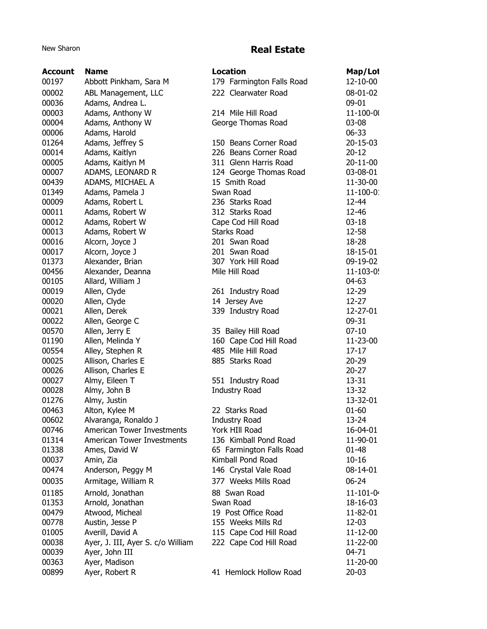## New Sharon **Real Estate**

| <b>Account</b> | <b>Name</b>                       | <b>Location</b>           | Map/Lot        |
|----------------|-----------------------------------|---------------------------|----------------|
| 00197          | Abbott Pinkham, Sara M            | 179 Farmington Falls Road | 12-10-00       |
| 00002          | ABL Management, LLC               | 222 Clearwater Road       | 08-01-02       |
| 00036          | Adams, Andrea L.                  |                           | 09-01          |
| 00003          | Adams, Anthony W                  | 214 Mile Hill Road        | 11-100-00      |
| 00004          | Adams, Anthony W                  | George Thomas Road        | 03-08          |
| 00006          | Adams, Harold                     |                           | 06-33          |
| 01264          | Adams, Jeffrey S                  | 150 Beans Corner Road     | 20-15-03       |
| 00014          | Adams, Kaitlyn                    | 226 Beans Corner Road     | $20 - 12$      |
| 00005          | Adams, Kaitlyn M                  | 311 Glenn Harris Road     | 20-11-00       |
| 00007          | ADAMS, LEONARD R                  | 124 George Thomas Road    | 03-08-01       |
| 00439          | ADAMS, MICHAEL A                  | 15 Smith Road             | 11-30-00       |
| 01349          | Adams, Pamela J                   | Swan Road                 | $11 - 100 - 0$ |
| 00009          | Adams, Robert L                   | 236 Starks Road           | 12-44          |
| 00011          | Adams, Robert W                   | 312 Starks Road           | 12-46          |
| 00012          | Adams, Robert W                   | Cape Cod Hill Road        | $03 - 18$      |
| 00013          | Adams, Robert W                   | <b>Starks Road</b>        | 12-58          |
| 00016          | Alcorn, Joyce J                   | 201 Swan Road             | 18-28          |
| 00017          | Alcorn, Joyce J                   | 201 Swan Road             | 18-15-01       |
| 01373          | Alexander, Brian                  | 307 York Hill Road        | 09-19-02       |
| 00456          | Alexander, Deanna                 | Mile Hill Road            | 11-103-0!      |
| 00105          | Allard, William J                 |                           | 04-63          |
| 00019          | Allen, Clyde                      | 261 Industry Road         | 12-29          |
| 00020          | Allen, Clyde                      | 14 Jersey Ave             | $12 - 27$      |
| 00021          | Allen, Derek                      | 339 Industry Road         | 12-27-01       |
| 00022          | Allen, George C                   |                           | 09-31          |
| 00570          | Allen, Jerry E                    | 35 Bailey Hill Road       | $07 - 10$      |
| 01190          | Allen, Melinda Y                  | 160 Cape Cod Hill Road    | 11-23-00       |
| 00554          | Alley, Stephen R                  | 485 Mile Hill Road        | $17 - 17$      |
| 00025          | Allison, Charles E                | 885 Starks Road           | $20 - 29$      |
| 00026          | Allison, Charles E                |                           | $20 - 27$      |
| 00027          | Almy, Eileen T                    | 551 Industry Road         | 13-31          |
| 00028          | Almy, John B                      | <b>Industry Road</b>      | 13-32          |
| 01276          | Almy, Justin                      |                           | 13-32-01       |
| 00463          | Alton, Kylee M                    | 22 Starks Road            | $01 - 60$      |
| 00602          | Alvaranga, Ronaldo J              | <b>Industry Road</b>      | 13-24          |
| 00746          | <b>American Tower Investments</b> | York HIII Road            | 16-04-01       |
| 01314          | <b>American Tower Investments</b> | 136 Kimball Pond Road     | 11-90-01       |
| 01338          | Ames, David W                     | 65 Farmington Falls Road  | 01-48          |
| 00037          | Amin, Zia                         | Kimball Pond Road         | $10 - 16$      |
| 00474          | Anderson, Peggy M                 | 146 Crystal Vale Road     | 08-14-01       |
| 00035          | Armitage, William R               | 377 Weeks Mills Road      | $06 - 24$      |
| 01185          | Arnold, Jonathan                  | 88 Swan Road              | $11 - 101 - 0$ |
| 01353          | Arnold, Jonathan                  | Swan Road                 | 18-16-03       |
| 00479          | Atwood, Micheal                   | 19 Post Office Road       | 11-82-01       |
| 00778          | Austin, Jesse P                   | 155 Weeks Mills Rd        | 12-03          |
| 01005          | Averill, David A                  | 115 Cape Cod Hill Road    | 11-12-00       |
| 00038          | Ayer, J. III, Ayer S. c/o William | 222 Cape Cod Hill Road    | 11-22-00       |
| 00039          | Ayer, John III                    |                           | 04-71          |
| 00363          | Ayer, Madison                     |                           | 11-20-00       |
| 00899          | Ayer, Robert R                    | 41 Hemlock Hollow Road    | $20 - 03$      |
|                |                                   |                           |                |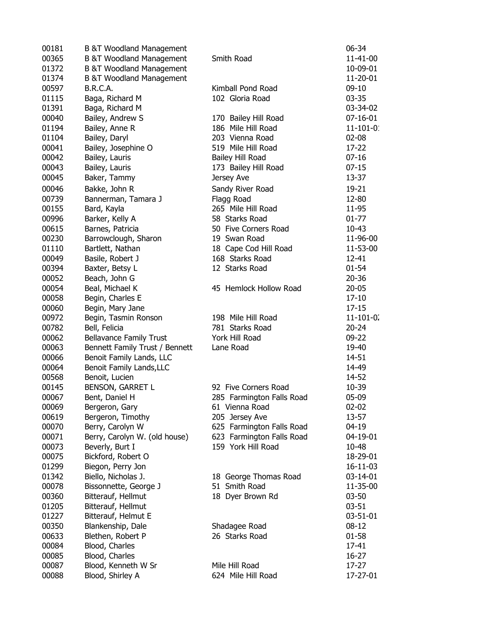| 00181 | <b>B &amp;T Woodland Management</b> |                           | 06-34           |
|-------|-------------------------------------|---------------------------|-----------------|
| 00365 | <b>B &amp;T Woodland Management</b> | Smith Road                | 11-41-00        |
| 01372 | <b>B &amp;T Woodland Management</b> |                           | 10-09-01        |
| 01374 | <b>B &amp;T Woodland Management</b> |                           | 11-20-01        |
| 00597 | B.R.C.A.                            | Kimball Pond Road         | $09-10$         |
| 01115 | Baga, Richard M                     | 102 Gloria Road           | $03 - 35$       |
| 01391 | Baga, Richard M                     |                           | 03-34-02        |
| 00040 | Bailey, Andrew S                    | 170 Bailey Hill Road      | $07 - 16 - 01$  |
| 01194 | Bailey, Anne R                      | 186 Mile Hill Road        | $11 - 101 - 0$  |
|       |                                     |                           |                 |
| 01104 | Bailey, Daryl                       | 203 Vienna Road           | $02 - 08$       |
| 00041 | Bailey, Josephine O                 | 519 Mile Hill Road        | 17-22           |
| 00042 | Bailey, Lauris                      | Bailey Hill Road          | $07 - 16$       |
| 00043 | Bailey, Lauris                      | 173 Bailey Hill Road      | $07 - 15$       |
| 00045 | Baker, Tammy                        | Jersey Ave                | 13-37           |
| 00046 | Bakke, John R                       | Sandy River Road          | 19-21           |
| 00739 | Bannerman, Tamara J                 | Flagg Road                | 12-80           |
| 00155 | Bard, Kayla                         | 265 Mile Hill Road        | 11-95           |
| 00996 | Barker, Kelly A                     | 58 Starks Road            | $01 - 77$       |
| 00615 | Barnes, Patricia                    | 50 Five Corners Road      | $10 - 43$       |
| 00230 | Barrowclough, Sharon                | 19 Swan Road              | 11-96-00        |
| 01110 | Bartlett, Nathan                    | 18 Cape Cod Hill Road     | 11-53-00        |
| 00049 | Basile, Robert J                    | 168 Starks Road           | $12 - 41$       |
| 00394 | Baxter, Betsy L                     | 12 Starks Road            | $01 - 54$       |
| 00052 | Beach, John G                       |                           | $20 - 36$       |
| 00054 | Beal, Michael K                     | 45 Hemlock Hollow Road    | $20 - 05$       |
| 00058 | Begin, Charles E                    |                           | $17 - 10$       |
| 00060 | Begin, Mary Jane                    |                           | $17 - 15$       |
| 00972 | Begin, Tasmin Ronson                | 198 Mile Hill Road        | $11 - 101 - 0.$ |
| 00782 |                                     | 781 Starks Road           | $20 - 24$       |
|       | Bell, Felicia                       |                           |                 |
| 00062 | <b>Bellavance Family Trust</b>      | York Hill Road            | 09-22           |
| 00063 | Bennett Family Trust / Bennett      | Lane Road                 | 19-40           |
| 00066 | Benoit Family Lands, LLC            |                           | 14-51           |
| 00064 | Benoit Family Lands, LLC            |                           | 14-49           |
| 00568 | Benoit, Lucien                      |                           | 14-52           |
| 00145 | <b>BENSON, GARRET L</b>             | 92 Five Corners Road      | 10-39           |
| 00067 | Bent, Daniel H                      | 285 Farmington Falls Road | $05-09$         |
| 00069 | Bergeron, Gary                      | 61 Vienna Road            | $02 - 02$       |
| 00619 | Bergeron, Timothy                   | 205 Jersey Ave            | 13-57           |
| 00070 | Berry, Carolyn W                    | 625 Farmington Falls Road | 04-19           |
| 00071 | Berry, Carolyn W. (old house)       | 623 Farmington Falls Road | 04-19-01        |
| 00073 | Beverly, Burt I                     | 159 York Hill Road        | 10-48           |
| 00075 | Bickford, Robert O                  |                           | 18-29-01        |
| 01299 | Biegon, Perry Jon                   |                           | 16-11-03        |
| 01342 | Biello, Nicholas J.                 | 18 George Thomas Road     | 03-14-01        |
| 00078 | Bissonnette, George J               | 51 Smith Road             | 11-35-00        |
| 00360 | Bitterauf, Hellmut                  | 18 Dyer Brown Rd          | $03 - 50$       |
| 01205 | Bitterauf, Hellmut                  |                           | $03 - 51$       |
| 01227 | Bitterauf, Helmut E                 |                           | 03-51-01        |
| 00350 | Blankenship, Dale                   | Shadagee Road             | $08 - 12$       |
| 00633 | Blethen, Robert P                   | 26 Starks Road            | $01 - 58$       |
| 00084 | Blood, Charles                      |                           | 17-41           |
| 00085 | Blood, Charles                      |                           | $16 - 27$       |
| 00087 | Blood, Kenneth W Sr                 | Mile Hill Road            | 17-27           |
| 00088 | Blood, Shirley A                    | 624 Mile Hill Road        | 17-27-01        |
|       |                                     |                           |                 |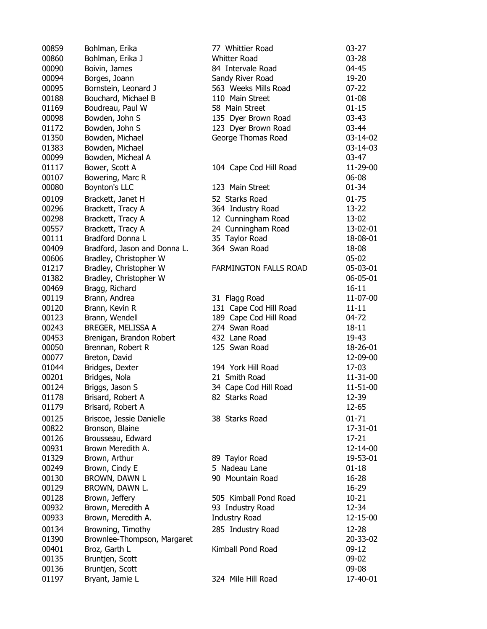| 00859 | Bohlman, Erika               | 77 Whittier Road             | $03 - 27$ |
|-------|------------------------------|------------------------------|-----------|
| 00860 | Bohlman, Erika J             | <b>Whitter Road</b>          | $03 - 28$ |
| 00090 | Boivin, James                | 84 Intervale Road            | 04-45     |
| 00094 | Borges, Joann                | Sandy River Road             | 19-20     |
| 00095 | Bornstein, Leonard J         | 563 Weeks Mills Road         | $07 - 22$ |
| 00188 | Bouchard, Michael B          | 110 Main Street              | $01 - 08$ |
| 01169 | Boudreau, Paul W             | 58 Main Street               | $01 - 15$ |
| 00098 | Bowden, John S               | 135 Dyer Brown Road          | $03 - 43$ |
| 01172 |                              | 123 Dyer Brown Road          | 03-44     |
|       | Bowden, John S               |                              |           |
| 01350 | Bowden, Michael              | George Thomas Road           | 03-14-02  |
| 01383 | Bowden, Michael              |                              | 03-14-03  |
| 00099 | Bowden, Micheal A            |                              | $03-47$   |
| 01117 | Bower, Scott A               | 104 Cape Cod Hill Road       | 11-29-00  |
| 00107 | Bowering, Marc R             |                              | 06-08     |
| 00080 | Boynton's LLC                | 123 Main Street              | $01 - 34$ |
| 00109 | Brackett, Janet H            | 52 Starks Road               | $01 - 75$ |
| 00296 | Brackett, Tracy A            | 364 Industry Road            | $13 - 22$ |
| 00298 | Brackett, Tracy A            | 12 Cunningham Road           | 13-02     |
| 00557 | Brackett, Tracy A            | 24 Cunningham Road           | 13-02-01  |
| 00111 | Bradford Donna L             | 35 Taylor Road               | 18-08-01  |
| 00409 | Bradford, Jason and Donna L. | 364 Swan Road                | 18-08     |
| 00606 | Bradley, Christopher W       |                              | $05-02$   |
| 01217 | Bradley, Christopher W       | <b>FARMINGTON FALLS ROAD</b> | 05-03-01  |
| 01382 | Bradley, Christopher W       |                              | 06-05-01  |
| 00469 | Bragg, Richard               |                              | $16 - 11$ |
| 00119 | Brann, Andrea                | 31 Flagg Road                | 11-07-00  |
| 00120 | Brann, Kevin R               | 131 Cape Cod Hill Road       | $11 - 11$ |
| 00123 | Brann, Wendell               | 189 Cape Cod Hill Road       | 04-72     |
| 00243 | BREGER, MELISSA A            | 274 Swan Road                | 18-11     |
| 00453 |                              | 432 Lane Road                | 19-43     |
|       | Brenigan, Brandon Robert     |                              |           |
| 00050 | Brennan, Robert R            | 125 Swan Road                | 18-26-01  |
| 00077 | Breton, David                |                              | 12-09-00  |
| 01044 | Bridges, Dexter              | 194 York Hill Road           | 17-03     |
| 00201 | Bridges, Nola                | 21 Smith Road                | 11-31-00  |
| 00124 | Briggs, Jason S              | 34 Cape Cod Hill Road        | 11-51-00  |
| 01178 | Brisard, Robert A            | 82 Starks Road               | 12-39     |
| 01179 | Brisard, Robert A            |                              | 12-65     |
| 00125 | Briscoe, Jessie Danielle     | 38 Starks Road               | $01 - 71$ |
| 00822 | Bronson, Blaine              |                              | 17-31-01  |
| 00126 | Brousseau, Edward            |                              | $17 - 21$ |
| 00931 | Brown Meredith A.            |                              | 12-14-00  |
| 01329 | Brown, Arthur                | 89 Taylor Road               | 19-53-01  |
| 00249 | Brown, Cindy E               | 5 Nadeau Lane                | $01 - 18$ |
| 00130 | BROWN, DAWN L                | 90 Mountain Road             | 16-28     |
| 00129 | BROWN, DAWN L.               |                              | 16-29     |
| 00128 | Brown, Jeffery               | 505 Kimball Pond Road        | $10 - 21$ |
| 00932 | Brown, Meredith A            | 93 Industry Road             | 12-34     |
| 00933 | Brown, Meredith A.           | <b>Industry Road</b>         | 12-15-00  |
| 00134 | Browning, Timothy            | 285 Industry Road            | 12-28     |
| 01390 | Brownlee-Thompson, Margaret  |                              | 20-33-02  |
| 00401 | Broz, Garth L                | Kimball Pond Road            | $09-12$   |
| 00135 |                              |                              | 09-02     |
|       | Bruntjen, Scott              |                              | 09-08     |
| 00136 | Bruntjen, Scott              |                              |           |
| 01197 | Bryant, Jamie L              | 324 Mile Hill Road           | 17-40-01  |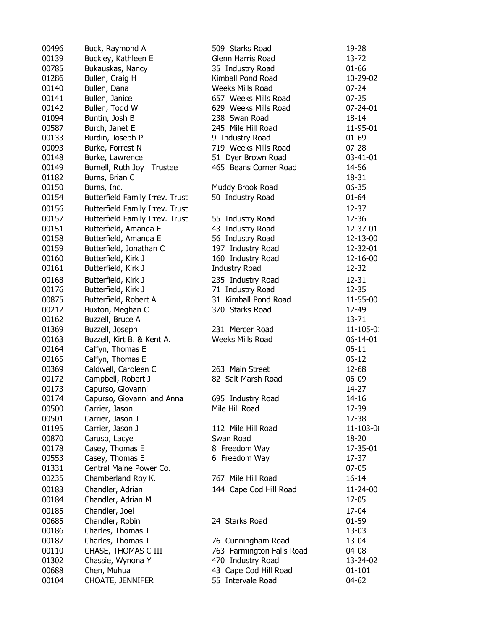| 00496 | Buck, Raymond A                 | 509 Starks Road                        | 19-28          |
|-------|---------------------------------|----------------------------------------|----------------|
| 00139 | Buckley, Kathleen E             | Glenn Harris Road                      | 13-72          |
| 00785 | Bukauskas, Nancy                | 35 Industry Road                       | 01-66          |
| 01286 | Bullen, Craig H                 | Kimball Pond Road                      | 10-29-02       |
| 00140 | Bullen, Dana                    | Weeks Mills Road                       | $07 - 24$      |
| 00141 | Bullen, Janice                  | 657 Weeks Mills Road                   | $07 - 25$      |
| 00142 | Bullen, Todd W                  | 629 Weeks Mills Road                   | 07-24-01       |
| 01094 | Buntin, Josh B                  | 238 Swan Road                          | 18-14          |
| 00587 | Burch, Janet E                  | 245 Mile Hill Road                     | 11-95-01       |
| 00133 | Burdin, Joseph P                | 9 Industry Road                        | $01 - 69$      |
| 00093 | Burke, Forrest N                | 719 Weeks Mills Road                   | $07 - 28$      |
| 00148 | Burke, Lawrence                 | 51 Dyer Brown Road                     | 03-41-01       |
| 00149 | Burnell, Ruth Joy<br>Trustee    | 465 Beans Corner Road                  | 14-56          |
| 01182 | Burns, Brian C                  |                                        | 18-31          |
| 00150 | Burns, Inc.                     | Muddy Brook Road                       | 06-35          |
| 00154 | Butterfield Family Irrev. Trust | 50 Industry Road                       | $01 - 64$      |
| 00156 | Butterfield Family Irrev. Trust |                                        | 12-37          |
| 00157 | Butterfield Family Irrev. Trust | 55 Industry Road                       | 12-36          |
| 00151 | Butterfield, Amanda E           | 43 Industry Road                       | 12-37-01       |
| 00158 | Butterfield, Amanda E           |                                        | 12-13-00       |
| 00159 | Butterfield, Jonathan C         | 56 Industry Road                       | 12-32-01       |
| 00160 | Butterfield, Kirk J             | 197 Industry Road<br>160 Industry Road |                |
| 00161 |                                 | <b>Industry Road</b>                   | 12-16-00       |
|       | Butterfield, Kirk J             |                                        | 12-32          |
| 00168 | Butterfield, Kirk J             | 235 Industry Road                      | $12 - 31$      |
| 00176 | Butterfield, Kirk J             | 71 Industry Road                       | 12-35          |
| 00875 | Butterfield, Robert A           | 31 Kimball Pond Road                   | 11-55-00       |
| 00212 | Buxton, Meghan C                | 370 Starks Road                        | 12-49          |
| 00162 | Buzzell, Bruce A                |                                        | 13-71          |
| 01369 | Buzzell, Joseph                 | 231 Mercer Road                        | $11 - 105 - 0$ |
| 00163 | Buzzell, Kirt B. & Kent A.      | Weeks Mills Road                       | 06-14-01       |
| 00164 | Caffyn, Thomas E                |                                        | $06-11$        |
| 00165 | Caffyn, Thomas E                |                                        | $06 - 12$      |
| 00369 | Caldwell, Caroleen C            | 263 Main Street                        | 12-68          |
| 00172 | Campbell, Robert J              | 82 Salt Marsh Road                     | 06-09          |
| 00173 | Capurso, Giovanni               |                                        | 14-27          |
| 00174 | Capurso, Giovanni and Anna      | 695 Industry Road                      | 14-16          |
| 00500 | Carrier, Jason                  | Mile Hill Road                         | 17-39          |
| 00501 | Carrier, Jason J                |                                        | 17-38          |
| 01195 | Carrier, Jason J                | 112 Mile Hill Road                     | 11-103-0(      |
| 00870 | Caruso, Lacye                   | Swan Road                              | 18-20          |
| 00178 | Casey, Thomas E                 | 8 Freedom Way                          | 17-35-01       |
| 00553 | Casey, Thomas E                 | 6 Freedom Way                          | $17-37$        |
| 01331 | Central Maine Power Co.         |                                        | $07-05$        |
| 00235 | Chamberland Roy K.              | 767 Mile Hill Road                     | $16 - 14$      |
| 00183 | Chandler, Adrian                | 144 Cape Cod Hill Road                 | 11-24-00       |
| 00184 | Chandler, Adrian M              |                                        | 17-05          |
| 00185 | Chandler, Joel                  |                                        | 17-04          |
| 00685 | Chandler, Robin                 | 24 Starks Road                         | $01 - 59$      |
| 00186 | Charles, Thomas T               |                                        | 13-03          |
| 00187 | Charles, Thomas T               | 76 Cunningham Road                     | 13-04          |
| 00110 | CHASE, THOMAS C III             | 763 Farmington Falls Road              | 04-08          |
| 01302 | Chassie, Wynona Y               | 470 Industry Road                      | 13-24-02       |
| 00688 | Chen, Muhua                     | 43 Cape Cod Hill Road                  | $01 - 101$     |
| 00104 | <b>CHOATE, JENNIFER</b>         | 55 Intervale Road                      | 04-62          |
|       |                                 |                                        |                |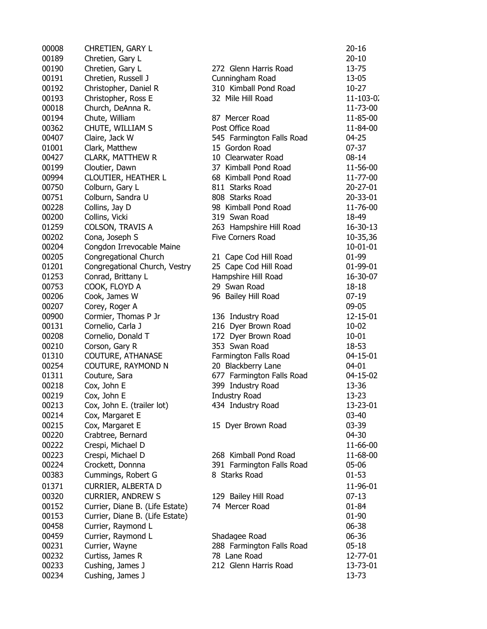| 00008 | CHRETIEN, GARY L                |                           | 20-16             |
|-------|---------------------------------|---------------------------|-------------------|
| 00189 | Chretien, Gary L                |                           | $20 - 10$         |
| 00190 | Chretien, Gary L                | 272 Glenn Harris Road     | $13 - 75$         |
| 00191 | Chretien, Russell J             | Cunningham Road           | 13-05             |
| 00192 | Christopher, Daniel R           | 310 Kimball Pond Road     | $10-27$           |
| 00193 | Christopher, Ross E             | 32 Mile Hill Road         | $11 - 103 - 0.$   |
| 00018 | Church, DeAnna R.               |                           | 11-73-00          |
| 00194 | Chute, William                  | 87 Mercer Road            | 11-85-00          |
| 00362 | CHUTE, WILLIAM S                | Post Office Road          | 11-84-00          |
| 00407 | Claire, Jack W                  | 545 Farmington Falls Road | $04 - 25$         |
| 01001 | Clark, Matthew                  | 15 Gordon Road            | $07 - 37$         |
| 00427 | <b>CLARK, MATTHEW R</b>         | 10 Clearwater Road        | $08 - 14$         |
| 00199 | Cloutier, Dawn                  | 37 Kimball Pond Road      | 11-56-00          |
| 00994 | CLOUTIER, HEATHER L             | 68 Kimball Pond Road      | 11-77-00          |
| 00750 | Colburn, Gary L                 | 811 Starks Road           | 20-27-01          |
| 00751 | Colburn, Sandra U               | 808 Starks Road           | 20-33-01          |
| 00228 | Collins, Jay D                  | 98 Kimball Pond Road      | 11-76-00          |
| 00200 | Collins, Vicki                  | 319 Swan Road             | 18-49             |
| 01259 | <b>COLSON, TRAVIS A</b>         | 263 Hampshire Hill Road   | 16-30-13          |
| 00202 | Cona, Joseph S                  | <b>Five Corners Road</b>  |                   |
|       | Congdon Irrevocable Maine       |                           | 10-35,36          |
| 00204 |                                 |                           | 10-01-01<br>01-99 |
| 00205 | Congregational Church           | 21 Cape Cod Hill Road     |                   |
| 01201 | Congregational Church, Vestry   | 25 Cape Cod Hill Road     | 01-99-01          |
| 01253 | Conrad, Brittany L              | Hampshire Hill Road       | 16-30-07          |
| 00753 | COOK, FLOYD A                   | 29 Swan Road              | 18-18             |
| 00206 | Cook, James W                   | 96 Bailey Hill Road       | $07-19$           |
| 00207 | Corey, Roger A                  |                           | 09-05             |
| 00900 | Cormier, Thomas P Jr            | 136 Industry Road         | 12-15-01          |
| 00131 | Cornelio, Carla J               | 216 Dyer Brown Road       | $10 - 02$         |
| 00208 | Cornelio, Donald T              | 172 Dyer Brown Road       | $10 - 01$         |
| 00210 | Corson, Gary R                  | 353 Swan Road             | 18-53             |
| 01310 | <b>COUTURE, ATHANASE</b>        | Farmington Falls Road     | 04-15-01          |
| 00254 | COUTURE, RAYMOND N              | 20 Blackberry Lane        | 04-01             |
| 01311 | Couture, Sara                   | 677 Farmington Falls Road | 04-15-02          |
| 00218 | Cox, John E                     | 399 Industry Road         | 13-36             |
| 00219 | Cox, John E                     | <b>Industry Road</b>      | $13 - 23$         |
| 00213 | Cox, John E. (trailer lot)      | 434 Industry Road         | 13-23-01          |
| 00214 | Cox, Margaret E                 |                           | 03-40             |
| 00215 | Cox, Margaret E                 | 15 Dyer Brown Road        | 03-39             |
| 00220 | Crabtree, Bernard               |                           | 04-30             |
| 00222 | Crespi, Michael D               |                           | 11-66-00          |
| 00223 | Crespi, Michael D               | 268 Kimball Pond Road     | 11-68-00          |
| 00224 | Crockett, Donnna                | 391 Farmington Falls Road | 05-06             |
| 00383 | Cummings, Robert G              | 8 Starks Road             | $01 - 53$         |
| 01371 | CURRIER, ALBERTA D              |                           | 11-96-01          |
| 00320 | <b>CURRIER, ANDREW S</b>        | 129 Bailey Hill Road      | $07-13$           |
| 00152 | Currier, Diane B. (Life Estate) | 74 Mercer Road            | 01-84             |
| 00153 | Currier, Diane B. (Life Estate) |                           | 01-90             |
| 00458 | Currier, Raymond L              |                           | 06-38             |
| 00459 | Currier, Raymond L              | Shadagee Road             | 06-36             |
| 00231 | Currier, Wayne                  | 288 Farmington Falls Road | $05 - 18$         |
| 00232 | Curtiss, James R                | 78 Lane Road              | 12-77-01          |
| 00233 | Cushing, James J                | 212 Glenn Harris Road     | 13-73-01          |
| 00234 | Cushing, James J                |                           | 13-73             |
|       |                                 |                           |                   |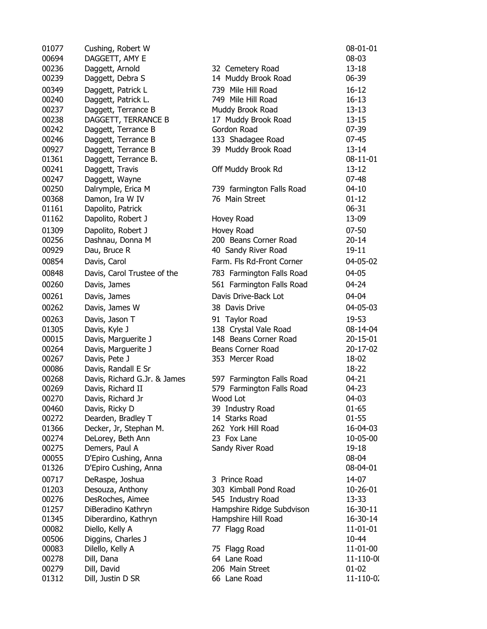| 01077 | Cushing, Robert W            |                           | 08-01-01        |
|-------|------------------------------|---------------------------|-----------------|
| 00694 | DAGGETT, AMY E               |                           | 08-03           |
| 00236 | Daggett, Arnold              | 32 Cemetery Road          | $13 - 18$       |
| 00239 | Daggett, Debra S             | 14 Muddy Brook Road       | 06-39           |
| 00349 | Daggett, Patrick L           | 739 Mile Hill Road        | $16 - 12$       |
| 00240 | Daggett, Patrick L.          | 749 Mile Hill Road        | $16 - 13$       |
| 00237 | Daggett, Terrance B          | Muddy Brook Road          | $13 - 13$       |
| 00238 | DAGGETT, TERRANCE B          | 17 Muddy Brook Road       | $13 - 15$       |
| 00242 | Daggett, Terrance B          | Gordon Road               | $07 - 39$       |
| 00246 | Daggett, Terrance B          | 133 Shadagee Road         | $07 - 45$       |
| 00927 | Daggett, Terrance B          | 39 Muddy Brook Road       | $13 - 14$       |
| 01361 | Daggett, Terrance B.         |                           | $08 - 11 - 01$  |
| 00241 | Daggett, Travis              | Off Muddy Brook Rd        | $13 - 12$       |
| 00247 | Daggett, Wayne               |                           | $07 - 48$       |
| 00250 | Dalrymple, Erica M           | 739 farmington Falls Road | $04 - 10$       |
| 00368 | Damon, Ira W IV              | 76 Main Street            | $01 - 12$       |
| 01161 |                              |                           | $06 - 31$       |
| 01162 | Dapolito, Patrick            |                           | 13-09           |
|       | Dapolito, Robert J           | Hovey Road                |                 |
| 01309 | Dapolito, Robert J           | Hovey Road                | $07 - 50$       |
| 00256 | Dashnau, Donna M             | 200 Beans Corner Road     | $20 - 14$       |
| 00929 | Dau, Bruce R                 | 40 Sandy River Road       | $19 - 11$       |
| 00854 | Davis, Carol                 | Farm. Fls Rd-Front Corner | 04-05-02        |
| 00848 | Davis, Carol Trustee of the  | 783 Farmington Falls Road | 04-05           |
| 00260 | Davis, James                 | 561 Farmington Falls Road | $04 - 24$       |
| 00261 | Davis, James                 | Davis Drive-Back Lot      | 04-04           |
| 00262 | Davis, James W               | 38 Davis Drive            | 04-05-03        |
| 00263 | Davis, Jason T               | 91 Taylor Road            | 19-53           |
| 01305 | Davis, Kyle J                | 138 Crystal Vale Road     | 08-14-04        |
| 00015 | Davis, Marguerite J          | 148 Beans Corner Road     | 20-15-01        |
| 00264 | Davis, Marguerite J          | Beans Corner Road         | 20-17-02        |
| 00267 | Davis, Pete J                | 353 Mercer Road           | 18-02           |
| 00086 | Davis, Randall E Sr          |                           | 18-22           |
| 00268 | Davis, Richard G.Jr. & James | 597 Farmington Falls Road | $04 - 21$       |
| 00269 | Davis, Richard II            | 579 Farmington Falls Road | 04-23           |
| 00270 | Davis, Richard Jr            | Wood Lot                  | 04-03           |
| 00460 | Davis, Ricky D               | 39 Industry Road          | 01-65           |
| 00272 | Dearden, Bradley T           | 14 Starks Road            | $01 - 55$       |
| 01366 | Decker, Jr, Stephan M.       | 262 York Hill Road        | 16-04-03        |
| 00274 | DeLorey, Beth Ann            | 23 Fox Lane               | 10-05-00        |
| 00275 | Demers, Paul A               | Sandy River Road          | $19 - 18$       |
| 00055 | D'Epiro Cushing, Anna        |                           | 08-04           |
| 01326 | D'Epiro Cushing, Anna        |                           | 08-04-01        |
| 00717 | DeRaspe, Joshua              | 3 Prince Road             | 14-07           |
| 01203 | Desouza, Anthony             | 303 Kimball Pond Road     | 10-26-01        |
| 00276 | DesRoches, Aimee             | 545 Industry Road         | 13-33           |
| 01257 | DiBeradino Kathryn           | Hampshire Ridge Subdvison | 16-30-11        |
| 01345 | Diberardino, Kathryn         | Hampshire Hill Road       | 16-30-14        |
| 00082 | Diello, Kelly A              | 77 Flagg Road             | 11-01-01        |
| 00506 | Diggins, Charles J           |                           | 10-44           |
| 00083 | Dilello, Kelly A             | 75 Flagg Road             | 11-01-00        |
| 00278 | Dill, Dana                   | 64 Lane Road              | 11-110-00       |
| 00279 | Dill, David                  | 206 Main Street           | $01 - 02$       |
| 01312 | Dill, Justin D SR            | 66 Lane Road              | $11 - 110 - 0.$ |
|       |                              |                           |                 |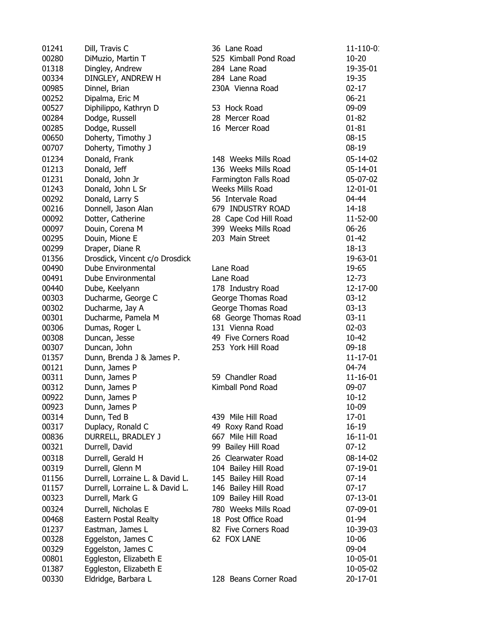| 01241 | Dill, Travis C                  | 36 Lane Road          | 11-110-0. |
|-------|---------------------------------|-----------------------|-----------|
| 00280 | DiMuzio, Martin T               | 525 Kimball Pond Road | $10 - 20$ |
| 01318 | Dingley, Andrew                 | 284 Lane Road         | 19-35-01  |
| 00334 | DINGLEY, ANDREW H               | 284 Lane Road         | 19-35     |
| 00985 | Dinnel, Brian                   | 230A Vienna Road      | $02 - 17$ |
| 00252 | Dipalma, Eric M                 |                       | $06 - 21$ |
| 00527 | Diphilippo, Kathryn D           | 53 Hock Road          | 09-09     |
| 00284 | Dodge, Russell                  | 28 Mercer Road        | $01 - 82$ |
| 00285 | Dodge, Russell                  | 16 Mercer Road        | $01 - 81$ |
| 00650 | Doherty, Timothy J              |                       | $08 - 15$ |
| 00707 | Doherty, Timothy J              |                       | $08-19$   |
| 01234 | Donald, Frank                   | 148 Weeks Mills Road  | 05-14-02  |
| 01213 | Donald, Jeff                    | 136 Weeks Mills Road  | 05-14-01  |
| 01231 | Donald, John Jr                 | Farmington Falls Road | 05-07-02  |
| 01243 | Donald, John L Sr               | Weeks Mills Road      | 12-01-01  |
| 00292 |                                 | 56 Intervale Road     | 04-44     |
| 00216 | Donald, Larry S                 | 679 INDUSTRY ROAD     |           |
|       | Donnell, Jason Alan             |                       | 14-18     |
| 00092 | Dotter, Catherine               | 28 Cape Cod Hill Road | 11-52-00  |
| 00097 | Douin, Corena M                 | 399 Weeks Mills Road  | $06 - 26$ |
| 00295 | Douin, Mione E                  | 203 Main Street       | $01 - 42$ |
| 00299 | Draper, Diane R                 |                       | $18 - 13$ |
| 01356 | Drosdick, Vincent c/o Drosdick  |                       | 19-63-01  |
| 00490 | Dube Environmental              | Lane Road             | 19-65     |
| 00491 | Dube Environmental              | Lane Road             | 12-73     |
| 00440 | Dube, Keelyann                  | 178 Industry Road     | 12-17-00  |
| 00303 | Ducharme, George C              | George Thomas Road    | $03-12$   |
| 00302 | Ducharme, Jay A                 | George Thomas Road    | $03-13$   |
| 00301 | Ducharme, Pamela M              | 68 George Thomas Road | $03 - 11$ |
| 00306 | Dumas, Roger L                  | 131 Vienna Road       | $02 - 03$ |
| 00308 | Duncan, Jesse                   | 49 Five Corners Road  | 10-42     |
| 00307 | Duncan, John                    | 253 York Hill Road    | $09-18$   |
| 01357 | Dunn, Brenda J & James P.       |                       | 11-17-01  |
| 00121 | Dunn, James P                   |                       | 04-74     |
| 00311 | Dunn, James P                   | 59 Chandler Road      | 11-16-01  |
| 00312 | Dunn, James P                   | Kimball Pond Road     | 09-07     |
| 00922 | Dunn, James P                   |                       | $10 - 12$ |
| 00923 | Dunn, James P                   |                       | 10-09     |
| 00314 | Dunn, Ted B                     | 439 Mile Hill Road    | 17-01     |
| 00317 | Duplacy, Ronald C               | 49 Roxy Rand Road     | 16-19     |
| 00836 | DURRELL, BRADLEY J              | 667 Mile Hill Road    | 16-11-01  |
| 00321 | Durrell, David                  | 99 Bailey Hill Road   | $07 - 12$ |
| 00318 | Durrell, Gerald H               | 26 Clearwater Road    | 08-14-02  |
| 00319 | Durrell, Glenn M                | 104 Bailey Hill Road  | 07-19-01  |
| 01156 | Durrell, Lorraine L. & David L. | 145 Bailey Hill Road  | $07 - 14$ |
| 01157 | Durrell, Lorraine L. & David L. | 146 Bailey Hill Road  | $07-17$   |
| 00323 | Durrell, Mark G                 | 109 Bailey Hill Road  | 07-13-01  |
| 00324 | Durrell, Nicholas E             | 780 Weeks Mills Road  | 07-09-01  |
| 00468 | Eastern Postal Realty           | 18 Post Office Road   | 01-94     |
| 01237 | Eastman, James L                | 82 Five Corners Road  | 10-39-03  |
| 00328 | Eggelston, James C              | 62 FOX LANE           | 10-06     |
| 00329 | Eggelston, James C              |                       | 09-04     |
| 00801 | Eggleston, Elizabeth E          |                       | 10-05-01  |
| 01387 | Eggleston, Elizabeth E          |                       | 10-05-02  |
| 00330 | Eldridge, Barbara L             | 128 Beans Corner Road | 20-17-01  |
|       |                                 |                       |           |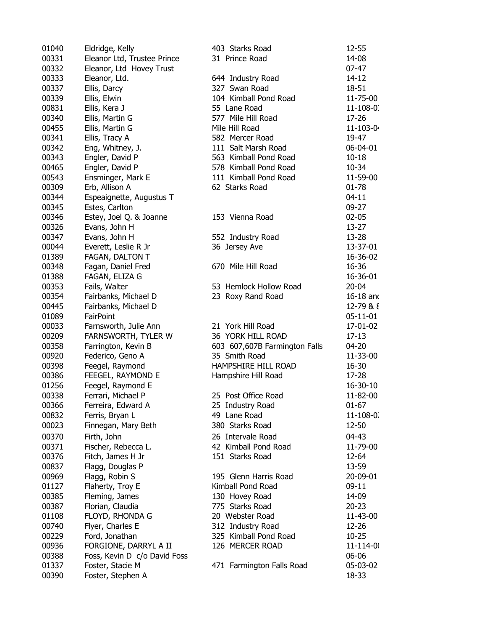| 01040          | Eldridge, Kelly              | 403 Starks Road               | 12-55           |
|----------------|------------------------------|-------------------------------|-----------------|
| 00331          | Eleanor Ltd, Trustee Prince  | 31 Prince Road                | 14-08           |
| 00332          | Eleanor, Ltd Hovey Trust     |                               | $07 - 47$       |
| 00333          | Eleanor, Ltd.                | 644 Industry Road             | 14-12           |
| 00337          | Ellis, Darcy                 | 327 Swan Road                 | 18-51           |
| 00339          | Ellis, Elwin                 | 104 Kimball Pond Road         | 11-75-00        |
| 00831          | Ellis, Kera J                | 55 Lane Road                  | $11 - 108 - 0.$ |
| 00340          | Ellis, Martin G              | 577 Mile Hill Road            | 17-26           |
| 00455          | Ellis, Martin G              | Mile Hill Road                | $11 - 103 - 0$  |
| 00341          | Ellis, Tracy A               | 582 Mercer Road               | 19-47           |
| 00342          | Eng, Whitney, J.             | 111 Salt Marsh Road           | 06-04-01        |
| 00343          | Engler, David P              | 563 Kimball Pond Road         | $10 - 18$       |
| 00465          | Engler, David P              | 578 Kimball Pond Road         | 10-34           |
| 00543          | Ensminger, Mark E            | 111 Kimball Pond Road         | 11-59-00        |
| 00309          | Erb, Allison A               | 62 Starks Road                | $01 - 78$       |
| 00344          | Espeaignette, Augustus T     |                               | $04 - 11$       |
| 00345          | Estes, Carlton               |                               | $09 - 27$       |
| 00346          | Estey, Joel Q. & Joanne      | 153 Vienna Road               | $02 - 05$       |
| 00326          | Evans, John H                |                               | $13 - 27$       |
| 00347          | Evans, John H                | 552 Industry Road             | $13 - 28$       |
| 00044          | Everett, Leslie R Jr         | 36 Jersey Ave                 | 13-37-01        |
| 01389          | FAGAN, DALTON T              |                               | 16-36-02        |
| 00348          | Fagan, Daniel Fred           | 670 Mile Hill Road            | 16-36           |
| 01388          | FAGAN, ELIZA G               |                               | 16-36-01        |
| 00353          | Fails, Walter                | 53 Hemlock Hollow Road        | $20 - 04$       |
| 00354          | Fairbanks, Michael D         | 23 Roxy Rand Road             | 16-18 and       |
| 00445          | Fairbanks, Michael D         |                               | 12-79 & 8       |
| 01089          | FairPoint                    |                               | 05-11-01        |
| 00033          |                              | 21 York Hill Road             | 17-01-02        |
| 00209          | Farnsworth, Julie Ann        | 36 YORK HILL ROAD             | $17 - 13$       |
| 00358          | FARNSWORTH, TYLER W          | 603 607,607B Farmington Falls | 04-20           |
| 00920          | Farrington, Kevin B          | 35 Smith Road                 | 11-33-00        |
| 00398          | Federico, Geno A             | HAMPSHIRE HILL ROAD           | 16-30           |
| 00386          | Feegel, Raymond              |                               |                 |
|                | FEEGEL, RAYMOND E            | Hampshire Hill Road           | 17-28           |
| 01256<br>00338 | Feegel, Raymond E            |                               | 16-30-10        |
|                | Ferrari, Michael P           | 25 Post Office Road           | 11-82-00        |
| 00366          | Ferreira, Edward A           | 25 Industry Road              | $01 - 67$       |
| 00832          | Ferris, Bryan L              | 49 Lane Road                  | 11-108-0.       |
| 00023          | Finnegan, Mary Beth          | 380 Starks Road               | 12-50           |
| 00370          | Firth, John                  | 26 Intervale Road             | $04 - 43$       |
| 00371          | Fischer, Rebecca L.          | 42 Kimball Pond Road          | 11-79-00        |
| 00376          | Fitch, James H Jr            | 151 Starks Road               | 12-64           |
| 00837          | Flagg, Douglas P             |                               | 13-59           |
| 00969          | Flagg, Robin S               | 195 Glenn Harris Road         | 20-09-01        |
| 01127          | Flaherty, Troy E             | Kimball Pond Road             | $09-11$         |
| 00385          | Fleming, James               | 130 Hovey Road                | 14-09           |
| 00387          | Florian, Claudia             | 775 Starks Road               | $20 - 23$       |
| 01108          | FLOYD, RHONDA G              | 20 Webster Road               | 11-43-00        |
| 00740          | Flyer, Charles E             | 312 Industry Road             | 12-26           |
| 00229          | Ford, Jonathan               | 325 Kimball Pond Road         | $10 - 25$       |
| 00936          | FORGIONE, DARRYL A II        | 126 MERCER ROAD               | 11-114-00       |
| 00388          | Foss, Kevin D c/o David Foss |                               | 06-06           |
| 01337          | Foster, Stacie M             | 471 Farmington Falls Road     | 05-03-02        |
| 00390          | Foster, Stephen A            |                               | 18-33           |
|                |                              |                               |                 |

| Starks Road               | 12-55          |  |
|---------------------------|----------------|--|
| ince Road                 | 14-08          |  |
|                           | $07 - 47$      |  |
| ndustry Road              | 14-12          |  |
| Swan Road                 | 18-51          |  |
| <b>Kimball Pond Road</b>  | 11-75-00       |  |
| ane Road                  | 11-108-0.      |  |
| Mile Hill Road            | 17-26          |  |
| lill Road                 | 11-103-0       |  |
| Mercer Road               | 19-47          |  |
| Salt Marsh Road           | 06-04-01       |  |
| <b>Kimball Pond Road</b>  | $10 - 18$      |  |
| <b>Kimball Pond Road</b>  | 10-34          |  |
| <b>Kimball Pond Road</b>  | 11-59-00       |  |
| arks Road                 | $01 - 78$      |  |
|                           | $04 - 11$      |  |
|                           | 09-27          |  |
| /ienna Road               | $02 - 05$      |  |
|                           | $13 - 27$      |  |
| ndustry Road              | 13-28          |  |
| ersey Ave                 | 13-37-01       |  |
|                           | 16-36-02       |  |
| Mile Hill Road            | 16-36          |  |
|                           | 16-36-01       |  |
| emlock Hollow Road        | $20 - 04$      |  |
| <b>Oxy Rand Road</b>      | 16-18 and      |  |
|                           | 12-79 & 8      |  |
|                           | $05 - 11 - 01$ |  |
| ork Hill Road             | 17-01-02       |  |
| ork hill Road             | $17 - 13$      |  |
| 507,607B Farmington Falls | $04 - 20$      |  |
| nith Road                 | 11-33-00       |  |
| <b>SHIRE HILL ROAD</b>    | 16-30          |  |
| shire Hill Road           | 17-28          |  |
|                           | 16-30-10       |  |
| ost Office Road           | 11-82-00       |  |
| dustry Road               | $01 - 67$      |  |
| ane Road                  | 11-108-0.      |  |
| Starks Road               | 12-50          |  |
| tervale Road              | $04 - 43$      |  |
| mball Pond Road           | 11-79-00       |  |
| Starks Road               | 12-64          |  |
|                           | 13-59          |  |
| Glenn Harris Road         | 20-09-01       |  |
| all Pond Road             | $09-11$        |  |
| Hovey Road                | 14-09          |  |
| Starks Road               | $20 - 23$      |  |
|                           |                |  |
| ebster Road               | 11-43-00       |  |
| ndustry Road              | 12-26          |  |
| <b>Kimball Pond Road</b>  | $10 - 25$      |  |
| <b>MERCER ROAD</b>        | 11-114-00      |  |
|                           | 06-06          |  |
| Farmington Falls Road     | 05-03-02       |  |
|                           | 18-33          |  |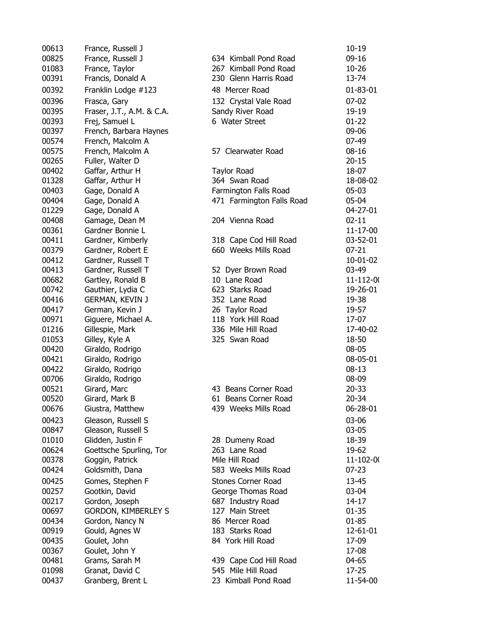| 00613          | France, Russell J          |                           | $10 - 19$         |
|----------------|----------------------------|---------------------------|-------------------|
| 00825          | France, Russell J          | 634 Kimball Pond Road     | $09-16$           |
| 01083          | France, Taylor             | 267 Kimball Pond Road     | $10 - 26$         |
| 00391          | Francis, Donald A          | 230 Glenn Harris Road     | 13-74             |
| 00392          | Franklin Lodge #123        | 48 Mercer Road            | 01-83-01          |
| 00396          | Frasca, Gary               | 132 Crystal Vale Road     | $07 - 02$         |
| 00395          | Fraser, J.T., A.M. & C.A.  | Sandy River Road          | 19-19             |
| 00393          | Frej, Samuel L             | 6 Water Street            | $01 - 22$         |
| 00397          | French, Barbara Haynes     |                           | 09-06             |
| 00574          | French, Malcolm A          |                           | $07-49$           |
| 00575          | French, Malcolm A          | 57 Clearwater Road        | $08 - 16$         |
| 00265          | Fuller, Walter D           |                           | $20 - 15$         |
| 00402          | Gaffar, Arthur H           | <b>Taylor Road</b>        | 18-07             |
| 01328          | Gaffar, Arthur H           | 364 Swan Road             | 18-08-02          |
| 00403          | Gage, Donald A             | Farmington Falls Road     | $05-03$           |
| 00404          | Gage, Donald A             | 471 Farmington Falls Road | 05-04             |
| 01229          | Gage, Donald A             |                           | 04-27-01          |
| 00408          | Gamage, Dean M             | 204 Vienna Road           | $02 - 11$         |
| 00361          | Gardner Bonnie L           |                           | 11-17-00          |
| 00411          | Gardner, Kimberly          | 318 Cape Cod Hill Road    | 03-52-01          |
| 00379          | Gardner, Robert E          | 660 Weeks Mills Road      | $07 - 21$         |
| 00412          | Gardner, Russell T         |                           | 10-01-02          |
| 00413          | Gardner, Russell T         | 52 Dyer Brown Road        | 03-49             |
| 00682          | Gartley, Ronald B          | 10 Lane Road              | $11 - 112 - 0($   |
| 00742          | Gauthier, Lydia C          | 623 Starks Road           | 19-26-01          |
| 00416          | GERMAN, KEVIN J            | 352 Lane Road             | 19-38             |
| 00417          | German, Kevin J            | 26 Taylor Road            | 19-57             |
| 00971          | Giguere, Michael A.        | 118 York Hill Road        | 17-07             |
| 01216          | Gillespie, Mark            | 336 Mile Hill Road        | 17-40-02          |
| 01053          |                            | 325 Swan Road             |                   |
|                | Gilley, Kyle A             |                           | 18-50             |
| 00420<br>00421 | Giraldo, Rodrigo           |                           | 08-05<br>08-05-01 |
|                | Giraldo, Rodrigo           |                           |                   |
| 00422<br>00706 | Giraldo, Rodrigo           |                           | $08 - 13$         |
|                | Giraldo, Rodrigo           |                           | 08-09             |
| 00521          | Girard, Marc               | 43 Beans Corner Road      | $20 - 33$         |
| 00520          | Girard, Mark B             | 61 Beans Corner Road      | 20-34             |
| 00676          | Giustra, Matthew           | 439 Weeks Mills Road      | 06-28-01          |
| 00423          | Gleason, Russell S         |                           | 03-06             |
| 00847          | Gleason, Russell S         |                           | $03 - 05$         |
| 01010          | Glidden, Justin F          | 28 Dumeny Road            | 18-39             |
| 00624          | Goettsche Spurling, Tor    | 263 Lane Road             | 19-62             |
| 00378          | Goggin, Patrick            | Mile Hill Road            | 11-102-00         |
| 00424          | Goldsmith, Dana            | 583 Weeks Mills Road      | $07 - 23$         |
| 00425          | Gomes, Stephen F           | Stones Corner Road        | 13-45             |
| 00257          | Gootkin, David             | George Thomas Road        | 03-04             |
| 00217          | Gordon, Joseph             | 687 Industry Road         | 14-17             |
| 00697          | <b>GORDON, KIMBERLEY S</b> | 127 Main Street           | $01 - 35$         |
| 00434          | Gordon, Nancy N            | 86 Mercer Road            | $01 - 85$         |
| 00919          | Gould, Agnes W             | 183 Starks Road           | 12-61-01          |
| 00435          | Goulet, John               | 84 York Hill Road         | 17-09             |
| 00367          | Goulet, John Y             |                           | 17-08             |
| 00481          | Grams, Sarah M             | 439 Cape Cod Hill Road    | 04-65             |
| 01098          | Granat, David C            | 545 Mile Hill Road        | $17 - 25$         |
| 00437          | Granberg, Brent L          | 23 Kimball Pond Road      | 11-54-00          |
|                |                            |                           |                   |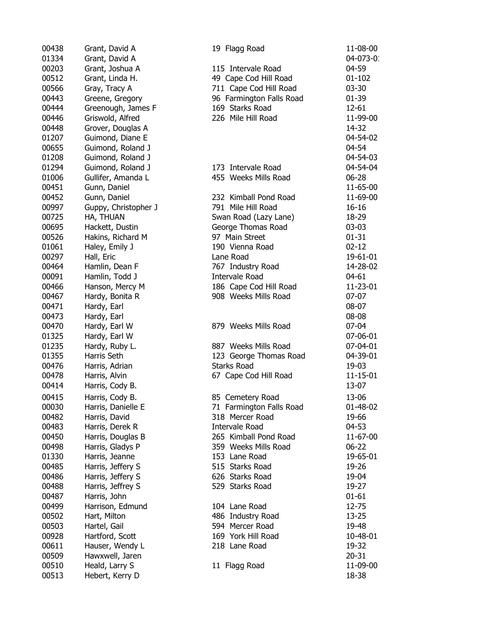| 00438 | Grant, David A       |
|-------|----------------------|
| 01334 | Grant, David A       |
| 00203 | Grant, Joshua A      |
| 00512 | Grant, Linda H.      |
| 00566 | Gray, Tracy A        |
| 00443 | Greene, Gregory      |
| 00444 | Greenough, James F   |
| 00446 | Griswold, Alfred     |
| 00448 | Grover, Douglas A    |
| 01207 | Guimond, Diane E     |
| 00655 | Guimond, Roland J    |
| 01208 | Guimond, Roland J    |
| 01294 | Guimond, Roland J    |
| 01006 | Gullifer, Amanda L   |
| 00451 | Gunn, Daniel         |
| 00452 | Gunn, Daniel         |
| 00997 | Guppy, Christopher J |
| 00725 | HA, THUAN            |
| 00695 | Hackett, Dustin      |
| 00526 | Hakins, Richard M    |
| 01061 | Haley, Emily J       |
| 00297 | Hall, Eric           |
| 00464 | Hamlin, Dean F       |
| 00091 | Hamlin, Todd J       |
| 00466 | Hanson, Mercy M      |
|       |                      |
| 00467 | Hardy, Bonita R      |
| 00471 | Hardy, Earl          |
| 00473 | Hardy, Earl          |
| 00470 | Hardy, Earl W        |
| 01325 | Hardy, Earl W        |
| 01235 | Hardy, Ruby L.       |
| 01355 | Harris Seth          |
| 00476 | Harris, Adrian       |
| 00478 | Harris, Alvin        |
| 00414 | Harris, Cody B.      |
| 00415 | Harris, Cody B.      |
| 00030 | Harris, Danielle E   |
| 00482 | Harris, David        |
| 00483 | Harris, Derek R      |
| 00450 | Harris, Douglas B    |
| 00498 | Harris, Gladys P     |
| 01330 | Harris, Jeanne       |
| 00485 | Harris, Jeffery S    |
| 00486 | Harris, Jeffery S    |
| 00488 | Harris, Jeffrey S    |
| 00487 | Harris, John         |
| 00499 | Harrison, Edmund     |
| 00502 | Hart, Milton         |
| 00503 | Hartel, Gail         |
| 00928 | Hartford, Scott      |
| 00611 | Hauser, Wendy L      |
| 00509 | Hawxwell, Jaren      |
| 00510 | Heald, Larry S       |
| 00513 | Hebert, Kerry D      |
|       |                      |

| 00438 | Grant, David A       | 19 Flagg Road            | 11-08-00   |
|-------|----------------------|--------------------------|------------|
| 01334 | Grant, David A       |                          | 04-073-0   |
| 00203 | Grant, Joshua A      | 115 Intervale Road       | 04-59      |
| 00512 | Grant, Linda H.      | 49 Cape Cod Hill Road    | $01 - 102$ |
| 00566 | Gray, Tracy A        | 711 Cape Cod Hill Road   | $03 - 30$  |
| 00443 | Greene, Gregory      | 96 Farmington Falls Road | $01 - 39$  |
| 00444 | Greenough, James F   | 169 Starks Road          | 12-61      |
| 00446 | Griswold, Alfred     | 226 Mile Hill Road       | 11-99-00   |
| 00448 | Grover, Douglas A    |                          | 14-32      |
| 01207 | Guimond, Diane E     |                          | 04-54-02   |
| 00655 | Guimond, Roland J    |                          | 04-54      |
| 01208 | Guimond, Roland J    |                          | 04-54-03   |
| 01294 | Guimond, Roland J    | 173 Intervale Road       | 04-54-04   |
| 01006 | Gullifer, Amanda L   | 455 Weeks Mills Road     | 06-28      |
| 00451 | Gunn, Daniel         |                          | 11-65-00   |
| 00452 | Gunn, Daniel         | 232 Kimball Pond Road    | 11-69-00   |
| 00997 | Guppy, Christopher J | 791 Mile Hill Road       | $16 - 16$  |
| 00725 | HA, THUAN            | Swan Road (Lazy Lane)    | 18-29      |
| 00695 | Hackett, Dustin      | George Thomas Road       | $03-03$    |
| 00526 | Hakins, Richard M    | 97 Main Street           | $01 - 31$  |
| 01061 | Haley, Emily J       | 190 Vienna Road          | $02 - 12$  |
| 00297 | Hall, Eric           | Lane Road                | 19-61-01   |
| 00464 | Hamlin, Dean F       | 767 Industry Road        | 14-28-02   |
| 00091 | Hamlin, Todd J       | <b>Intervale Road</b>    | 04-61      |
| 00466 | Hanson, Mercy M      | 186 Cape Cod Hill Road   | 11-23-01   |
| 00467 | Hardy, Bonita R      | 908 Weeks Mills Road     | $07-07$    |
| 00471 | Hardy, Earl          |                          | 08-07      |
| 00473 | Hardy, Earl          |                          | 08-08      |
| 00470 | Hardy, Earl W        | 879 Weeks Mills Road     | $07 - 04$  |
| 01325 | Hardy, Earl W        |                          | 07-06-01   |
| 01235 | Hardy, Ruby L.       | 887 Weeks Mills Road     | 07-04-01   |
| 01355 | Harris Seth          | 123 George Thomas Road   | 04-39-01   |
| 00476 | Harris, Adrian       | <b>Starks Road</b>       | 19-03      |
| 00478 | Harris, Alvin        | 67 Cape Cod Hill Road    | 11-15-01   |
| 00414 | Harris, Cody B.      |                          | 13-07      |
| 00415 | Harris, Cody B.      | 85 Cemetery Road         | 13-06      |
| 00030 | Harris, Danielle E   | 71 Farmington Falls Road | 01-48-02   |
| 00482 | Harris, David        | 318 Mercer Road          | 19-66      |
| 00483 | Harris, Derek R      | Intervale Road           | 04-53      |
| 00450 | Harris, Douglas B    | 265 Kimball Pond Road    | 11-67-00   |
| 00498 | Harris, Gladys P     | 359 Weeks Mills Road     | $06 - 22$  |
| 01330 | Harris, Jeanne       | 153 Lane Road            | 19-65-01   |
| 00485 | Harris, Jeffery S    | 515 Starks Road          | 19-26      |
| 00486 | Harris, Jeffery S    | 626 Starks Road          | 19-04      |
| 00488 | Harris, Jeffrey S    | 529 Starks Road          | 19-27      |
| 00487 | Harris, John         |                          | $01 - 61$  |
| 00499 | Harrison, Edmund     | 104 Lane Road            | 12-75      |
| 00502 | Hart, Milton         | 486 Industry Road        | 13-25      |
| 00503 | Hartel, Gail         | 594 Mercer Road          | 19-48      |
| 00928 | Hartford, Scott      | 169 York Hill Road       | 10-48-01   |
| 00611 | Hauser, Wendy L      | 218 Lane Road            | 19-32      |
| 00509 | Hawxwell, Jaren      |                          | $20 - 31$  |
| 00510 | Heald, Larry S       | 11 Flagg Road            | 11-09-00   |
| 00513 | Hebert, Kerry D      |                          | 18-38      |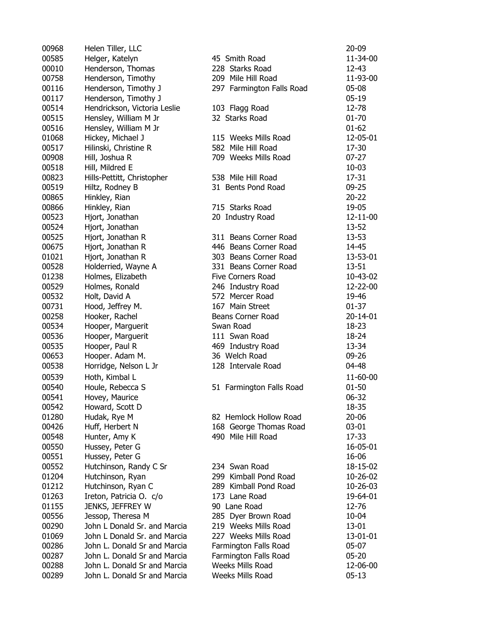| 00968 | Helen Tiller, LLC            |                           | $20 - 09$ |
|-------|------------------------------|---------------------------|-----------|
| 00585 | Helger, Katelyn              | 45 Smith Road             | 11-34-00  |
| 00010 | Henderson, Thomas            | 228 Starks Road           | $12 - 43$ |
| 00758 | Henderson, Timothy           | 209 Mile Hill Road        | 11-93-00  |
| 00116 | Henderson, Timothy J         | 297 Farmington Falls Road | 05-08     |
| 00117 | Henderson, Timothy J         |                           | $05 - 19$ |
| 00514 | Hendrickson, Victoria Leslie | 103 Flagg Road            | 12-78     |
| 00515 | Hensley, William M Jr        | 32 Starks Road            | $01 - 70$ |
| 00516 | Hensley, William M Jr        |                           | $01 - 62$ |
| 01068 | Hickey, Michael J            | 115 Weeks Mills Road      | 12-05-01  |
| 00517 | Hilinski, Christine R        | 582 Mile Hill Road        | 17-30     |
| 00908 | Hill, Joshua R               | 709 Weeks Mills Road      | $07 - 27$ |
| 00518 | Hill, Mildred E              |                           | $10 - 03$ |
| 00823 | Hills-Pettitt, Christopher   | 538 Mile Hill Road        | 17-31     |
| 00519 | Hiltz, Rodney B              | 31 Bents Pond Road        | $09 - 25$ |
| 00865 | Hinkley, Rian                |                           | $20 - 22$ |
| 00866 | Hinkley, Rian                | 715 Starks Road           | 19-05     |
|       |                              |                           |           |
| 00523 | Hjort, Jonathan              | 20 Industry Road          | 12-11-00  |
| 00524 | Hjort, Jonathan              |                           | 13-52     |
| 00525 | Hjort, Jonathan R            | 311 Beans Corner Road     | $13 - 53$ |
| 00675 | Hjort, Jonathan R            | 446 Beans Corner Road     | 14-45     |
| 01021 | Hjort, Jonathan R            | 303 Beans Corner Road     | 13-53-01  |
| 00528 | Holderried, Wayne A          | 331 Beans Corner Road     | $13 - 51$ |
| 01238 | Holmes, Elizabeth            | Five Corners Road         | 10-43-02  |
| 00529 | Holmes, Ronald               | 246 Industry Road         | 12-22-00  |
| 00532 | Holt, David A                | 572 Mercer Road           | 19-46     |
| 00731 | Hood, Jeffrey M.             | 167 Main Street           | $01 - 37$ |
| 00258 | Hooker, Rachel               | Beans Corner Road         | 20-14-01  |
| 00534 | Hooper, Marguerit            | Swan Road                 | $18 - 23$ |
| 00536 | Hooper, Marguerit            | 111 Swan Road             | 18-24     |
| 00535 | Hooper, Paul R               | 469 Industry Road         | 13-34     |
| 00653 | Hooper. Adam M.              | 36 Welch Road             | 09-26     |
| 00538 | Horridge, Nelson L Jr        | 128 Intervale Road        | 04-48     |
| 00539 | Hoth, Kimbal L               |                           | 11-60-00  |
| 00540 | Houle, Rebecca S             | 51 Farmington Falls Road  | $01 - 50$ |
| 00541 | Hovey, Maurice               |                           | 06-32     |
| 00542 | Howard, Scott D              |                           | 18-35     |
| 01280 | Hudak, Rye M                 | 82 Hemlock Hollow Road    | $20 - 06$ |
| 00426 | Huff, Herbert N              | 168 George Thomas Road    | 03-01     |
| 00548 | Hunter, Amy K                | 490 Mile Hill Road        | 17-33     |
| 00550 | Hussey, Peter G              |                           | 16-05-01  |
| 00551 | Hussey, Peter G              |                           | 16-06     |
| 00552 | Hutchinson, Randy C Sr       | 234 Swan Road             | 18-15-02  |
| 01204 | Hutchinson, Ryan             | 299 Kimball Pond Road     | 10-26-02  |
| 01212 | Hutchinson, Ryan C           | 289 Kimball Pond Road     | 10-26-03  |
| 01263 | Ireton, Patricia O. c/o      | 173 Lane Road             | 19-64-01  |
| 01155 | JENKS, JEFFREY W             | 90 Lane Road              | 12-76     |
| 00556 |                              |                           | 10-04     |
|       | Jessop, Theresa M            | 285 Dyer Brown Road       |           |
| 00290 | John L Donald Sr. and Marcia | 219 Weeks Mills Road      | 13-01     |
| 01069 | John L Donald Sr. and Marcia | 227 Weeks Mills Road      | 13-01-01  |
| 00286 | John L. Donald Sr and Marcia | Farmington Falls Road     | 05-07     |
| 00287 | John L. Donald Sr and Marcia | Farmington Falls Road     | $05 - 20$ |
| 00288 | John L. Donald Sr and Marcia | Weeks Mills Road          | 12-06-00  |
| 00289 | John L. Donald Sr and Marcia | Weeks Mills Road          | $05 - 13$ |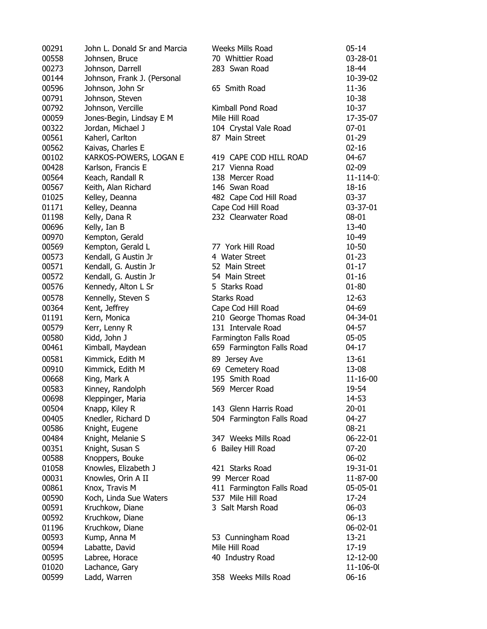| 00291 | John L. Donald Sr and Marcia | Weeks Mills Road                                | $05 - 14$      |
|-------|------------------------------|-------------------------------------------------|----------------|
| 00558 | Johnsen, Bruce               | 70 Whittier Road                                | 03-28-01       |
| 00273 | Johnson, Darrell             | 283 Swan Road                                   | 18-44          |
| 00144 | Johnson, Frank J. (Personal  |                                                 | 10-39-02       |
| 00596 | Johnson, John Sr             | 65 Smith Road                                   | 11-36          |
| 00791 | Johnson, Steven              |                                                 | 10-38          |
| 00792 | Johnson, Vercille            | Kimball Pond Road                               | $10 - 37$      |
| 00059 | Jones-Begin, Lindsay E M     | Mile Hill Road                                  | 17-35-07       |
| 00322 | Jordan, Michael J            | 104 Crystal Vale Road                           | $07 - 01$      |
| 00561 | Kaherl, Carlton              | 87 Main Street                                  | $01 - 29$      |
| 00562 | Kaivas, Charles E            |                                                 | $02 - 16$      |
| 00102 | KARKOS-POWERS, LOGAN E       | 419 CAPE COD HILL ROAD                          | 04-67          |
| 00428 | Karlson, Francis E           | 217 Vienna Road                                 | 02-09          |
| 00564 |                              | 138 Mercer Road                                 | $11 - 114 - 0$ |
|       | Keach, Randall R             |                                                 |                |
| 00567 | Keith, Alan Richard          | 146 Swan Road                                   | 18-16          |
| 01025 | Kelley, Deanna               | 482 Cape Cod Hill Road                          | 03-37          |
| 01171 | Kelley, Deanna               | Cape Cod Hill Road                              | 03-37-01       |
| 01198 | Kelly, Dana R                | 232 Clearwater Road                             | 08-01          |
| 00696 | Kelly, Ian B                 |                                                 | 13-40          |
| 00970 | Kempton, Gerald              |                                                 | 10-49          |
| 00569 | Kempton, Gerald L            | 77 York Hill Road                               | 10-50          |
| 00573 | Kendall, G Austin Jr         | 4 Water Street                                  | $01 - 23$      |
| 00571 | Kendall, G. Austin Jr        | 52 Main Street                                  | $01 - 17$      |
| 00572 | Kendall, G. Austin Jr        | 54 Main Street                                  | $01 - 16$      |
| 00576 | Kennedy, Alton L Sr          | 5 Starks Road                                   | 01-80          |
| 00578 | Kennelly, Steven S           | <b>Starks Road</b>                              | 12-63          |
| 00364 | Kent, Jeffrey                | Cape Cod Hill Road                              | 04-69          |
| 01191 | Kern, Monica                 | 210 George Thomas Road                          | 04-34-01       |
| 00579 | Kerr, Lenny R                | 131 Intervale Road                              | 04-57          |
| 00580 | Kidd, John J                 | Farmington Falls Road                           | $05-05$        |
| 00461 | Kimball, Maydean             | 659 Farmington Falls Road                       | $04 - 17$      |
| 00581 | Kimmick, Edith M             | 89 Jersey Ave                                   | 13-61          |
| 00910 | Kimmick, Edith M             | 69 Cemetery Road                                | 13-08          |
| 00668 | King, Mark A                 | 195 Smith Road                                  | $11 - 16 - 00$ |
| 00583 | Kinney, Randolph             | 569 Mercer Road                                 | 19-54          |
| 00698 | Kleppinger, Maria            |                                                 | 14-53          |
| 00504 | Knapp, Kiley R               | 143 Glenn Harris Road                           | 20-01          |
| 00405 | Knedler, Richard D           | 504 Farmington Falls Road                       | 04-27          |
| 00586 | Knight, Eugene               |                                                 | 08-21          |
| 00484 | Knight, Melanie S            | 347 Weeks Mills Road                            | 06-22-01       |
| 00351 | Knight, Susan S              | 6 Bailey Hill Road                              | $07 - 20$      |
| 00588 | Knoppers, Bouke              |                                                 | 06-02          |
| 01058 | Knowles, Elizabeth J         | 421 Starks Road                                 | 19-31-01       |
| 00031 | Knowles, Orin A II           | 99 Mercer Road                                  | 11-87-00       |
| 00861 |                              |                                                 | 05-05-01       |
|       | Knox, Travis M               | 411 Farmington Falls Road<br>537 Mile Hill Road | 17-24          |
| 00590 | Koch, Linda Sue Waters       |                                                 |                |
| 00591 | Kruchkow, Diane              | 3 Salt Marsh Road                               | 06-03          |
| 00592 | Kruchkow, Diane              |                                                 | 06-13          |
| 01196 | Kruchkow, Diane              |                                                 | 06-02-01       |
| 00593 | Kump, Anna M                 | 53 Cunningham Road                              | 13-21          |
| 00594 | Labatte, David               | Mile Hill Road                                  | 17-19          |
| 00595 | Labree, Horace               | 40 Industry Road                                | 12-12-00       |
| 01020 | Lachance, Gary               |                                                 | 11-106-00      |
| 00599 | Ladd, Warren                 | 358 Weeks Mills Road                            | $06 - 16$      |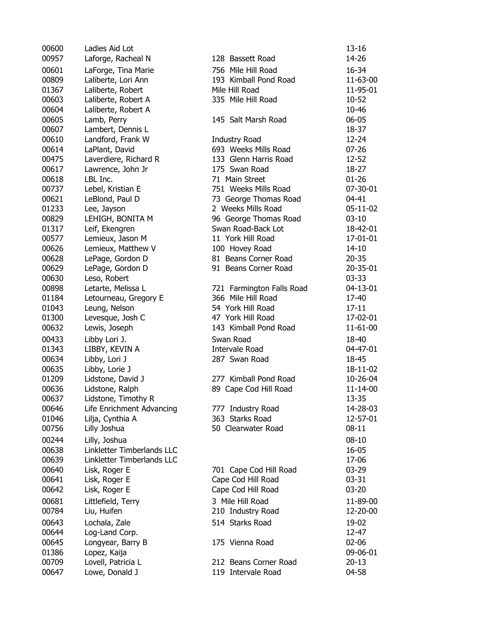| 00600 | Ladies Aid Lot             |                           | 13-16     |
|-------|----------------------------|---------------------------|-----------|
| 00957 | Laforge, Racheal N         | 128 Bassett Road          | 14-26     |
| 00601 | LaForge, Tina Marie        | 756 Mile Hill Road        | 16-34     |
| 00809 | Laliberte, Lori Ann        | 193 Kimball Pond Road     | 11-63-00  |
| 01367 | Laliberte, Robert          | Mile Hill Road            | 11-95-01  |
| 00603 | Laliberte, Robert A        | 335 Mile Hill Road        | 10-52     |
| 00604 | Laliberte, Robert A        |                           | 10-46     |
| 00605 | Lamb, Perry                | 145 Salt Marsh Road       | 06-05     |
| 00607 | Lambert, Dennis L          |                           | 18-37     |
| 00610 | Landford, Frank W          | <b>Industry Road</b>      | $12 - 24$ |
| 00614 | LaPlant, David             | 693 Weeks Mills Road      | $07 - 26$ |
| 00475 | Laverdiere, Richard R      | 133 Glenn Harris Road     | $12 - 52$ |
| 00617 | Lawrence, John Jr          | 175 Swan Road             | $18-27$   |
| 00618 | LBL Inc.                   | 71 Main Street            | $01 - 26$ |
| 00737 | Lebel, Kristian E          | 751 Weeks Mills Road      | 07-30-01  |
| 00621 | LeBlond, Paul D            | 73 George Thomas Road     | 04-41     |
| 01233 | Lee, Jayson                | 2 Weeks Mills Road        | 05-11-02  |
| 00829 | LEHIGH, BONITA M           | 96 George Thomas Road     | $03 - 10$ |
| 01317 | Leif, Ekengren             | Swan Road-Back Lot        | 18-42-01  |
| 00577 | Lemieux, Jason M           | 11 York Hill Road         | 17-01-01  |
| 00626 | Lemieux, Matthew V         | 100 Hovey Road            | $14 - 10$ |
| 00628 | LePage, Gordon D           | 81 Beans Corner Road      | $20 - 35$ |
| 00629 | LePage, Gordon D           | 91 Beans Corner Road      | 20-35-01  |
| 00630 | Leso, Robert               |                           | $03 - 33$ |
| 00898 | Letarte, Melissa L         | 721 Farmington Falls Road | 04-13-01  |
| 01184 | Letourneau, Gregory E      | 366 Mile Hill Road        | 17-40     |
| 01043 | Leung, Nelson              | 54 York Hill Road         | $17 - 11$ |
| 01300 | Levesque, Josh C           | 47 York Hill Road         | 17-02-01  |
| 00632 | Lewis, Joseph              | 143 Kimball Pond Road     | 11-61-00  |
| 00433 | Libby Lori J.              | Swan Road                 | 18-40     |
| 01343 | LIBBY, KEVIN A             | Intervale Road            | 04-47-01  |
| 00634 | Libby, Lori J              | 287 Swan Road             | 18-45     |
| 00635 | Libby, Lorie J             |                           | 18-11-02  |
| 01209 | Lidstone, David J          | 277 Kimball Pond Road     | 10-26-04  |
| 00636 | Lidstone, Ralph            | 89 Cape Cod Hill Road     | 11-14-00  |
| 00637 | Lidstone, Timothy R        |                           | 13-35     |
| 00646 | Life Enrichment Advancing  | 777 Industry Road         | 14-28-03  |
| 01046 | Lilja, Cynthia A           | 363 Starks Road           | 12-57-01  |
| 00756 | Lilly Joshua               | 50 Clearwater Road        | $08 - 11$ |
| 00244 | Lilly, Joshua              |                           | $08 - 10$ |
| 00638 | Linkletter Timberlands LLC |                           | 16-05     |
| 00639 | Linkletter Timberlands LLC |                           | 17-06     |
| 00640 | Lisk, Roger E              | 701 Cape Cod Hill Road    | $03 - 29$ |
| 00641 | Lisk, Roger E              | Cape Cod Hill Road        | $03 - 31$ |
| 00642 | Lisk, Roger E              | Cape Cod Hill Road        | $03 - 20$ |
| 00681 | Littlefield, Terry         | 3 Mile Hill Road          | 11-89-00  |
| 00784 | Liu, Huifen                | 210 Industry Road         | 12-20-00  |
| 00643 | Lochala, Zale              | 514 Starks Road           | 19-02     |
| 00644 | Log-Land Corp.             |                           | 12-47     |
| 00645 | Longyear, Barry B          | 175 Vienna Road           | $02 - 06$ |
| 01386 | Lopez, Kaija               |                           | 09-06-01  |
| 00709 | Lovell, Patricia L         | 212 Beans Corner Road     | $20 - 13$ |
| 00647 | Lowe, Donald J             | 119 Intervale Road        | 04-58     |
|       |                            |                           |           |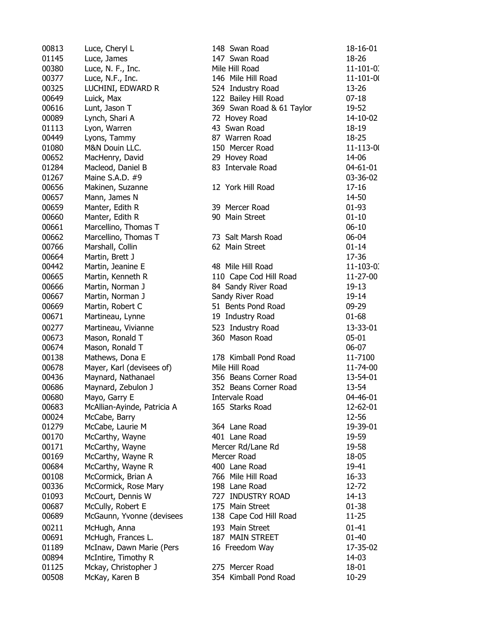| 00813 | Luce, Cheryl L              | 148 Swan Road             | 18-16-01        |
|-------|-----------------------------|---------------------------|-----------------|
| 01145 | Luce, James                 | 147 Swan Road             | 18-26           |
| 00380 | Luce, N. F., Inc.           | Mile Hill Road            | $11 - 101 - 0.$ |
| 00377 | Luce, N.F., Inc.            | 146 Mile Hill Road        | $11 - 101 - 00$ |
| 00325 | LUCHINI, EDWARD R           | 524 Industry Road         | 13-26           |
| 00649 | Luick, Max                  | 122 Bailey Hill Road      | $07 - 18$       |
| 00616 | Lunt, Jason T               | 369 Swan Road & 61 Taylor | 19-52           |
| 00089 | Lynch, Shari A              | 72 Hovey Road             | 14-10-02        |
| 01113 | Lyon, Warren                | 43 Swan Road              | 18-19           |
| 00449 | Lyons, Tammy                | 87 Warren Road            | 18-25           |
| 01080 | M&N Douin LLC.              | 150 Mercer Road           | 11-113-00       |
| 00652 | MacHenry, David             | 29 Hovey Road             | 14-06           |
| 01284 | Macleod, Daniel B           | 83 Intervale Road         | 04-61-01        |
| 01267 | Maine S.A.D. #9             |                           | 03-36-02        |
| 00656 | Makinen, Suzanne            | 12 York Hill Road         | $17 - 16$       |
| 00657 | Mann, James N               |                           | 14-50           |
| 00659 | Manter, Edith R             | 39 Mercer Road            | $01 - 93$       |
| 00660 | Manter, Edith R             | 90 Main Street            | $01 - 10$       |
| 00661 | Marcellino, Thomas T        |                           | $06 - 10$       |
| 00662 | Marcellino, Thomas T        | 73 Salt Marsh Road        | 06-04           |
| 00766 | Marshall, Collin            | 62 Main Street            | $01 - 14$       |
| 00664 | Martin, Brett J             |                           | 17-36           |
| 00442 |                             | 48 Mile Hill Road         |                 |
|       | Martin, Jeanine E           |                           | $11 - 103 - 0.$ |
| 00665 | Martin, Kenneth R           | 110 Cape Cod Hill Road    | 11-27-00        |
| 00666 | Martin, Norman J            | 84 Sandy River Road       | 19-13           |
| 00667 | Martin, Norman J            | Sandy River Road          | 19-14           |
| 00669 | Martin, Robert C            | 51 Bents Pond Road        | 09-29           |
| 00671 | Martineau, Lynne            | 19 Industry Road          | $01 - 68$       |
| 00277 | Martineau, Vivianne         | 523 Industry Road         | 13-33-01        |
| 00673 | Mason, Ronald T             | 360 Mason Road            | $05 - 01$       |
| 00674 | Mason, Ronald T             |                           | 06-07           |
| 00138 | Mathews, Dona E             | 178 Kimball Pond Road     | 11-7100         |
| 00678 | Mayer, Karl (devisees of)   | Mile Hill Road            | 11-74-00        |
| 00436 | Maynard, Nathanael          | 356 Beans Corner Road     | 13-54-01        |
| 00686 | Maynard, Zebulon J          | 352 Beans Corner Road     | 13-54           |
| 00680 | Mayo, Garry E               | Intervale Road            | 04-46-01        |
| 00683 | McAllian-Ayinde, Patricia A | 165 Starks Road           | 12-62-01        |
| 00024 | McCabe, Barry               |                           | 12-56           |
| 01279 | McCabe, Laurie M            | 364 Lane Road             | 19-39-01        |
| 00170 | McCarthy, Wayne             | 401 Lane Road             | 19-59           |
| 00171 | McCarthy, Wayne             | Mercer Rd/Lane Rd         | 19-58           |
| 00169 | McCarthy, Wayne R           | Mercer Road               | 18-05           |
| 00684 | McCarthy, Wayne R           | 400 Lane Road             | 19-41           |
| 00108 | McCormick, Brian A          | 766 Mile Hill Road        | 16-33           |
| 00336 | McCormick, Rose Mary        | 198 Lane Road             | 12-72           |
| 01093 | McCourt, Dennis W           | 727 INDUSTRY ROAD         | $14 - 13$       |
| 00687 | McCully, Robert E           | 175 Main Street           | $01 - 38$       |
| 00689 | McGaunn, Yvonne (devisees   | 138 Cape Cod Hill Road    | $11 - 25$       |
| 00211 | McHugh, Anna                | 193 Main Street           | $01 - 41$       |
| 00691 | McHugh, Frances L.          | 187 MAIN STREET           | $01 - 40$       |
| 01189 | McInaw, Dawn Marie (Pers    | 16 Freedom Way            | 17-35-02        |
| 00894 | McIntire, Timothy R         |                           | 14-03           |
| 01125 | Mckay, Christopher J        | 275 Mercer Road           | 18-01           |
| 00508 | McKay, Karen B              | 354 Kimball Pond Road     | 10-29           |
|       |                             |                           |                 |

| 48 Swan Road             | 18-16-01        |
|--------------------------|-----------------|
| 47 Swan Road             | 18-26           |
| lile Hill Road           | $11 - 101 - 0.$ |
| 46 Mile Hill Road        | $11 - 101 - 00$ |
| 24 Industry Road         | 13-26           |
| 22 Bailey Hill Road      | $07 - 18$       |
| 69 Swan Road & 61 Taylor | 19-52           |
| 2 Hovey Road             | 14-10-02        |
| 3 Swan Road              | 18-19           |
| 7 Warren Road            | $18 - 25$       |
|                          |                 |
| 50 Mercer Road           | 11-113-00       |
| 9 Hovey Road             | 14-06           |
| 3 Intervale Road         | 04-61-01        |
|                          | 03-36-02        |
| 2 York Hill Road         | $17 - 16$       |
|                          | 14-50           |
| 9 Mercer Road            | $01 - 93$       |
| 0 Main Street            | $01 - 10$       |
|                          | $06 - 10$       |
| 3 Salt Marsh Road        | 06-04           |
| 2 Main Street            | $01 - 14$       |
|                          | 17-36           |
| 8 Mile Hill Road         | $11 - 103 - 0.$ |
| 10 Cape Cod Hill Road    | 11-27-00        |
| 4 Sandy River Road       | $19-13$         |
| andy River Road          | 19-14           |
| 1 Bents Pond Road        | 09-29           |
| 9 Industry Road          | $01 - 68$       |
| 23 Industry Road         | 13-33-01        |
| 60 Mason Road            | $05 - 01$       |
|                          | 06-07           |
| 78 Kimball Pond Road     | 11-7100         |
| lile Hill Road           | 11-74-00        |
| 56 Beans Corner Road     | 13-54-01        |
| 52 Beans Corner Road     | 13-54           |
| ntervale Road            | 04-46-01        |
| 65 Starks Road           | 12-62-01        |
|                          | 12-56           |
| 64 Lane Road             | 19-39-01        |
| 01 Lane Road             | 19-59           |
| lercer Rd/Lane Rd        | 19-58           |
| lercer Road              | 18-05           |
| 00 Lane Road             | 19-41           |
| 66 Mile Hill Road        | $16 - 33$       |
| 98 Lane Road             | 12-72           |
| 27 INDUSTRY ROAD         | $14 - 13$       |
| 75 Main Street           | 01-38           |
| 38 Cape Cod Hill Road    | $11 - 25$       |
|                          |                 |
| 93 Main Street           | 01-41           |
| 87 MAIN STREET           | 01-40           |
| 6 Freedom Way            | 17-35-02        |
|                          | 14-03           |
| 75 Mercer Road           | 18-01           |
| 54 Kimball Pond Road     | 10-29           |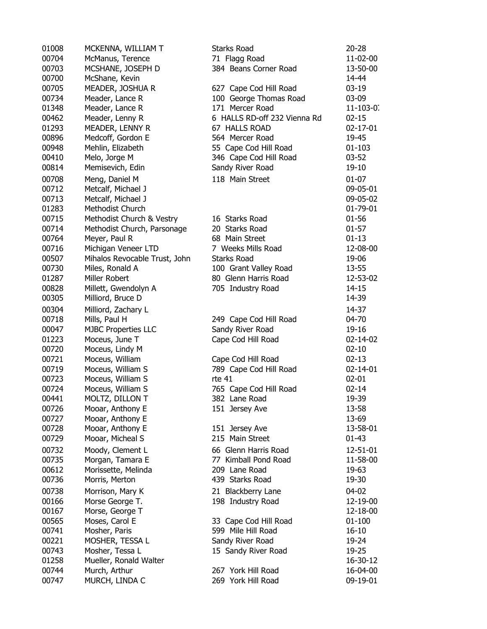| 01008 | MCKENNA, WILLIAM T            | <b>Starks Road</b>                | $20 - 28$      |
|-------|-------------------------------|-----------------------------------|----------------|
| 00704 | McManus, Terence              | 71 Flagg Road                     | 11-02-00       |
| 00703 | MCSHANE, JOSEPH D             | 384 Beans Corner Road             | 13-50-00       |
| 00700 | McShane, Kevin                |                                   | 14-44          |
| 00705 | MEADER, JOSHUA R              | 627 Cape Cod Hill Road            | $03-19$        |
| 00734 | Meader, Lance R               | 100 George Thomas Road            | 03-09          |
| 01348 | Meader, Lance R               | 171 Mercer Road                   | $11 - 103 - 0$ |
| 00462 | Meader, Lenny R               | 6 HALLS RD-off 232 Vienna Rd      | $02 - 15$      |
| 01293 |                               | 67 HALLS ROAD                     | $02 - 17 - 01$ |
|       | MEADER, LENNY R               |                                   |                |
| 00896 | Medcoff, Gordon E             | 564 Mercer Road                   | 19-45          |
| 00948 | Mehlin, Elizabeth             | 55 Cape Cod Hill Road             | $01 - 103$     |
| 00410 | Melo, Jorge M                 | 346 Cape Cod Hill Road            | $03 - 52$      |
| 00814 | Memisevich, Edin              | Sandy River Road                  | 19-10          |
| 00708 | Meng, Daniel M                | 118 Main Street                   | $01 - 07$      |
| 00712 | Metcalf, Michael J            |                                   | 09-05-01       |
| 00713 | Metcalf, Michael J            |                                   | 09-05-02       |
| 01283 | Methodist Church              |                                   | 01-79-01       |
| 00715 | Methodist Church & Vestry     | 16 Starks Road                    | $01 - 56$      |
| 00714 | Methodist Church, Parsonage   | 20 Starks Road                    | $01 - 57$      |
| 00764 | Meyer, Paul R                 | 68 Main Street                    | $01 - 13$      |
| 00716 | Michigan Veneer LTD           | 7 Weeks Mills Road                | 12-08-00       |
| 00507 | Mihalos Revocable Trust, John | <b>Starks Road</b>                | 19-06          |
| 00730 | Miles, Ronald A               | 100 Grant Valley Road             | 13-55          |
| 01287 | Miller Robert                 | 80 Glenn Harris Road              | 12-53-02       |
| 00828 | Millett, Gwendolyn A          | 705 Industry Road                 | $14 - 15$      |
| 00305 | Milliord, Bruce D             |                                   | 14-39          |
| 00304 | Milliord, Zachary L           |                                   | 14-37          |
| 00718 | Mills, Paul H                 | 249 Cape Cod Hill Road            | 04-70          |
| 00047 | <b>MJBC Properties LLC</b>    | Sandy River Road                  | 19-16          |
| 01223 | Moceus, June T                | Cape Cod Hill Road                | $02 - 14 - 02$ |
| 00720 | Moceus, Lindy M               |                                   | $02 - 10$      |
| 00721 | Moceus, William               | Cape Cod Hill Road                | $02 - 13$      |
| 00719 | Moceus, William S             | 789 Cape Cod Hill Road            | $02 - 14 - 01$ |
| 00723 | Moceus, William S             | rte 41                            | $02 - 01$      |
| 00724 | Moceus, William S             | 765 Cape Cod Hill Road            | $02 - 14$      |
| 00441 | MOLTZ, DILLON T               | 382 Lane Road                     | 19-39          |
| 00726 | Mooar, Anthony E              |                                   | 13-58          |
| 00727 | Mooar, Anthony E              | 151 Jersey Ave                    | 13-69          |
|       | Mooar, Anthony E              |                                   | 13-58-01       |
| 00728 |                               | 151 Jersey Ave<br>215 Main Street |                |
| 00729 | Mooar, Micheal S              |                                   | $01 - 43$      |
| 00732 | Moody, Clement L              | 66 Glenn Harris Road              | 12-51-01       |
| 00735 | Morgan, Tamara E              | 77 Kimball Pond Road              | 11-58-00       |
| 00612 | Morissette, Melinda           | 209 Lane Road                     | 19-63          |
| 00736 | Morris, Merton                | 439 Starks Road                   | 19-30          |
| 00738 | Morrison, Mary K              | 21 Blackberry Lane                | 04-02          |
| 00166 | Morse George T.               | 198 Industry Road                 | 12-19-00       |
| 00167 | Morse, George T               |                                   | 12-18-00       |
| 00565 | Moses, Carol E                | 33 Cape Cod Hill Road             | $01 - 100$     |
| 00741 | Mosher, Paris                 | 599 Mile Hill Road                | $16 - 10$      |
| 00221 | MOSHER, TESSA L               | Sandy River Road                  | 19-24          |
| 00743 | Mosher, Tessa L               | 15 Sandy River Road               | 19-25          |
| 01258 | Mueller, Ronald Walter        |                                   | 16-30-12       |
| 00744 | Murch, Arthur                 | 267 York Hill Road                | 16-04-00       |
| 00747 | MURCH, LINDA C                | 269 York Hill Road                | 09-19-01       |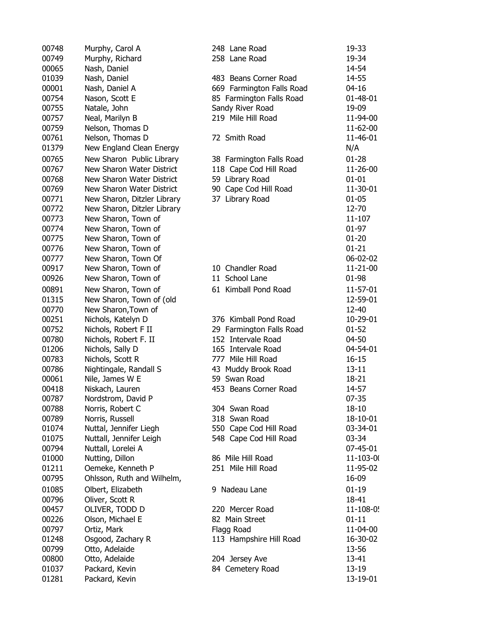| 00748 | Murphy, Carol A             | 248 Lane Road             | 19-33      |
|-------|-----------------------------|---------------------------|------------|
| 00749 | Murphy, Richard             | 258 Lane Road             | 19-34      |
| 00065 | Nash, Daniel                |                           | 14-54      |
| 01039 | Nash, Daniel                | 483 Beans Corner Road     | 14-55      |
| 00001 | Nash, Daniel A              | 669 Farmington Falls Road | $04 - 16$  |
| 00754 | Nason, Scott E              | 85 Farmington Falls Road  | 01-48-01   |
| 00755 | Natale, John                | Sandy River Road          | 19-09      |
| 00757 | Neal, Marilyn B             | 219 Mile Hill Road        | 11-94-00   |
| 00759 | Nelson, Thomas D            |                           | 11-62-00   |
| 00761 | Nelson, Thomas D            | 72 Smith Road             | 11-46-01   |
| 01379 | New England Clean Energy    |                           | N/A        |
| 00765 | New Sharon Public Library   | 38 Farmington Falls Road  | $01 - 28$  |
| 00767 | New Sharon Water District   | 118 Cape Cod Hill Road    | 11-26-00   |
| 00768 | New Sharon Water District   | 59 Library Road           | $01 - 01$  |
| 00769 | New Sharon Water District   | 90 Cape Cod Hill Road     | 11-30-01   |
| 00771 | New Sharon, Ditzler Library | 37 Library Road           | $01 - 05$  |
| 00772 | New Sharon, Ditzler Library |                           | 12-70      |
| 00773 | New Sharon, Town of         |                           | $11 - 107$ |
| 00774 | New Sharon, Town of         |                           | $01-97$    |
| 00775 | New Sharon, Town of         |                           | $01 - 20$  |
| 00776 | New Sharon, Town of         |                           | $01 - 21$  |
| 00777 | New Sharon, Town Of         |                           | 06-02-02   |
| 00917 | New Sharon, Town of         | 10 Chandler Road          | 11-21-00   |
| 00926 |                             | 11 School Lane            | 01-98      |
|       | New Sharon, Town of         |                           |            |
| 00891 | New Sharon, Town of         | 61 Kimball Pond Road      | 11-57-01   |
| 01315 | New Sharon, Town of (old    |                           | 12-59-01   |
| 00770 | New Sharon, Town of         |                           | 12-40      |
| 00251 | Nichols, Katelyn D          | 376 Kimball Pond Road     | 10-29-01   |
| 00752 | Nichols, Robert F II        | 29 Farmington Falls Road  | $01 - 52$  |
| 00780 | Nichols, Robert F. II       | 152 Intervale Road        | 04-50      |
| 01206 | Nichols, Sally D            | 165 Intervale Road        | 04-54-01   |
| 00783 | Nichols, Scott R            | 777 Mile Hill Road        | $16 - 15$  |
| 00786 | Nightingale, Randall S      | 43 Muddy Brook Road       | $13 - 11$  |
| 00061 | Nile, James W E             | 59 Swan Road              | 18-21      |
| 00418 | Niskach, Lauren             | 453 Beans Corner Road     | 14-57      |
| 00787 | Nordstrom, David P          |                           | $07 - 35$  |
| 00788 | Norris, Robert C            | 304 Swan Road             | 18-10      |
| 00789 | Norris, Russell             | 318 Swan Road             | 18-10-01   |
| 01074 | Nuttal, Jennifer Liegh      | 550 Cape Cod Hill Road    | 03-34-01   |
| 01075 | Nuttall, Jennifer Leigh     | 548 Cape Cod Hill Road    | 03-34      |
| 00794 | Nuttall, Lorelei A          |                           | 07-45-01   |
| 01000 | Nutting, Dillon             | 86 Mile Hill Road         | 11-103-0   |
| 01211 | Oemeke, Kenneth P           | 251 Mile Hill Road        | 11-95-02   |
| 00795 | Ohlsson, Ruth and Wilhelm,  |                           | 16-09      |
| 01085 | Olbert, Elizabeth           | 9 Nadeau Lane             | $01 - 19$  |
| 00796 | Oliver, Scott R             |                           | 18-41      |
| 00457 | OLIVER, TODD D              | 220 Mercer Road           | 11-108-0   |
| 00226 | Olson, Michael E            | 82 Main Street            | $01 - 11$  |
| 00797 | Ortiz, Mark                 | Flagg Road                | 11-04-00   |
| 01248 | Osgood, Zachary R           | 113 Hampshire Hill Road   | 16-30-02   |
| 00799 | Otto, Adelaide              |                           | 13-56      |
| 00800 | Otto, Adelaide              | 204 Jersey Ave            | 13-41      |
| 01037 | Packard, Kevin              | 84 Cemetery Road          | 13-19      |
| 01281 | Packard, Kevin              |                           | 13-19-01   |

| 248 Lane Road<br>258 Lane Road | 19-33<br>19-34 |
|--------------------------------|----------------|
| 483 Beans Corner Road          | 14-54<br>14-55 |
| 669 Farmington Falls Road      | $04 - 16$      |
| 85 Farmington Falls Road       | $01 - 48 - 01$ |
| Sandy River Road               | 19-09          |
| 219 Mile Hill Road             | 11-94-00       |
|                                | 11-62-00       |
| 72 Smith Road                  | 11-46-01       |
|                                | N/A            |
| 38 Farmington Falls Road       | $01 - 28$      |
| 118 Cape Cod Hill Road         | 11-26-00       |
| 59 Library Road                | $01 - 01$      |
| 90 Cape Cod Hill Road          | 11-30-01       |
| 37 Library Road                | $01 - 05$      |
|                                | 12-70          |
|                                | 11-107         |
|                                | $01-97$        |
|                                | $01 - 20$      |
|                                | $01 - 21$      |
|                                | 06-02-02       |
| 10 Chandler Road               | 11-21-00       |
| 11 School Lane                 | 01-98          |
| 61 Kimball Pond Road           | 11-57-01       |
|                                | 12-59-01       |
|                                | 12-40          |
| 376 Kimball Pond Road          | 10-29-01       |
| 29 Farmington Falls Road       | $01 - 52$      |
| 152 Intervale Road             | 04-50          |
| 165 Intervale Road             | 04-54-01       |
| 777 Mile Hill Road             | $16 - 15$      |
| 43 Muddy Brook Road            | $13 - 11$      |
| 59 Swan Road                   | $18 - 21$      |
| 453 Beans Corner Road          | 14-57          |
|                                | $07 - 35$      |
| 304 Swan Road                  | 18-10          |
| 318 Swan Road                  | 18-10-01       |
| 550 Cape Cod Hill Road         | 03-34-01       |
| 548 Cape Cod Hill Road         | 03-34          |
|                                | 07-45-01       |
| 86 Mile Hill Road              | 11-103-00      |
| 251 Mile Hill Road             | 11-95-02       |
|                                | 16-09          |
| 9 Nadeau Lane                  | $01 - 19$      |
|                                | 18-41          |
| 220 Mercer Road                | 11-108-0!      |
| 82 Main Street                 | 01-11          |
| Flagg Road                     | 11-04-00       |
| 113 Hampshire Hill Road        | 16-30-02       |
|                                | 13-56          |
| 204 Jersey Ave                 | $13 - 41$      |
| 84 Cemetery Road               | $13 - 19$      |
|                                | 13-19-01       |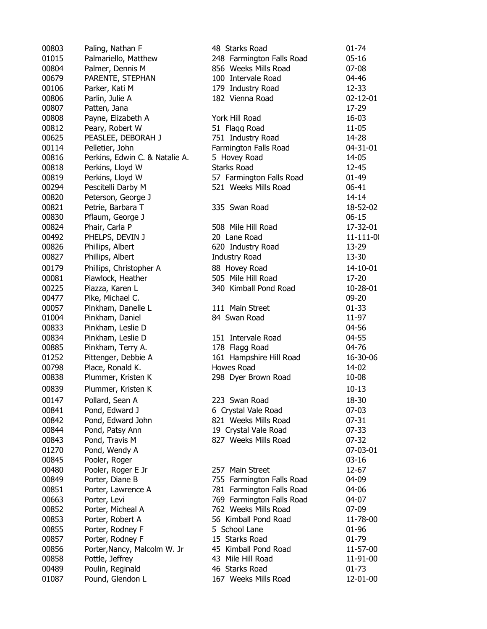| 00803 | Paling, Nathan F               | 48 Starks Road                            | $01 - 74$       |
|-------|--------------------------------|-------------------------------------------|-----------------|
| 01015 | Palmariello, Matthew           | 248 Farmington Falls Road                 | $05 - 16$       |
| 00804 | Palmer, Dennis M               | 856 Weeks Mills Road                      | $07 - 08$       |
| 00679 | PARENTE, STEPHAN               | 100 Intervale Road                        | 04-46           |
| 00106 | Parker, Kati M                 | 179 Industry Road                         | 12-33           |
| 00806 | Parlin, Julie A                | 182 Vienna Road                           | $02 - 12 - 01$  |
| 00807 | Patten, Jana                   |                                           | 17-29           |
| 00808 | Payne, Elizabeth A             | York Hill Road                            | $16 - 03$       |
| 00812 | Peary, Robert W                | 51 Flagg Road                             | $11 - 05$       |
| 00625 | PEASLEE, DEBORAH J             | 751 Industry Road                         | 14-28           |
| 00114 | Pelletier, John                | Farmington Falls Road                     | 04-31-01        |
| 00816 | Perkins, Edwin C. & Natalie A. | 5 Hovey Road                              | 14-05           |
| 00818 | Perkins, Lloyd W               | <b>Starks Road</b>                        | 12-45           |
| 00819 | Perkins, Lloyd W               | 57 Farmington Falls Road                  | $01 - 49$       |
| 00294 | Pescitelli Darby M             | 521 Weeks Mills Road                      | 06-41           |
| 00820 | Peterson, George J             |                                           | 14-14           |
| 00821 | Petrie, Barbara T              | 335 Swan Road                             | 18-52-02        |
| 00830 | Pflaum, George J               |                                           | $06 - 15$       |
| 00824 | Phair, Carla P                 | 508 Mile Hill Road                        | 17-32-01        |
| 00492 | PHELPS, DEVIN J                | 20 Lane Road                              | $11 - 111 - 0($ |
| 00826 | Phillips, Albert               | 620 Industry Road                         | 13-29           |
| 00827 | Phillips, Albert               | Industry Road                             | 13-30           |
| 00179 | Phillips, Christopher A        | 88 Hovey Road                             | 14-10-01        |
| 00081 | Piawlock, Heather              | 505 Mile Hill Road                        | 17-20           |
| 00225 | Piazza, Karen L                | 340 Kimball Pond Road                     | 10-28-01        |
| 00477 | Pike, Michael C.               |                                           | 09-20           |
| 00057 | Pinkham, Danelle L             | 111 Main Street                           | $01 - 33$       |
| 01004 | Pinkham, Daniel                | 84 Swan Road                              | 11-97           |
| 00833 | Pinkham, Leslie D              |                                           | 04-56           |
| 00834 | Pinkham, Leslie D              | 151 Intervale Road                        | 04-55           |
| 00885 |                                |                                           | 04-76           |
| 01252 | Pinkham, Terry A.              | 178 Flagg Road<br>161 Hampshire Hill Road | 16-30-06        |
| 00798 | Pittenger, Debbie A            | Howes Road                                | 14-02           |
| 00838 | Place, Ronald K.               |                                           |                 |
|       | Plummer, Kristen K             | 298 Dyer Brown Road                       | 10-08           |
| 00839 | Plummer, Kristen K             |                                           | $10 - 13$       |
| 00147 | Pollard, Sean A                | 223 Swan Road                             | 18-30           |
| 00841 | Pond, Edward J                 | 6 Crystal Vale Road                       | $07 - 03$       |
| 00842 | Pond, Edward John              | 821 Weeks Mills Road                      | $07 - 31$       |
| 00844 | Pond, Patsy Ann                | 19 Crystal Vale Road                      | $07 - 33$       |
| 00843 | Pond, Travis M                 | 827 Weeks Mills Road                      | $07 - 32$       |
| 01270 | Pond, Wendy A                  |                                           | 07-03-01        |
| 00845 | Pooler, Roger                  |                                           | $03 - 16$       |
| 00480 | Pooler, Roger E Jr             | 257 Main Street                           | 12-67           |
| 00849 | Porter, Diane B                | 755 Farmington Falls Road                 | 04-09           |
| 00851 | Porter, Lawrence A             | 781 Farmington Falls Road                 | 04-06           |
| 00663 | Porter, Levi                   | 769 Farmington Falls Road                 | 04-07           |
| 00852 | Porter, Micheal A              | 762 Weeks Mills Road                      | $07-09$         |
| 00853 | Porter, Robert A               | 56 Kimball Pond Road                      | 11-78-00        |
| 00855 | Porter, Rodney F               | 5 School Lane                             | 01-96           |
| 00857 | Porter, Rodney F               | 15 Starks Road                            | 01-79           |
| 00856 | Porter, Nancy, Malcolm W. Jr   | 45 Kimball Pond Road                      | 11-57-00        |
| 00858 | Pottle, Jeffrey                | 43 Mile Hill Road                         | 11-91-00        |
| 00489 | Poulin, Reginald               | 46 Starks Road                            | $01 - 73$       |
| 01087 | Pound, Glendon L               | 167 Weeks Mills Road                      | 12-01-00        |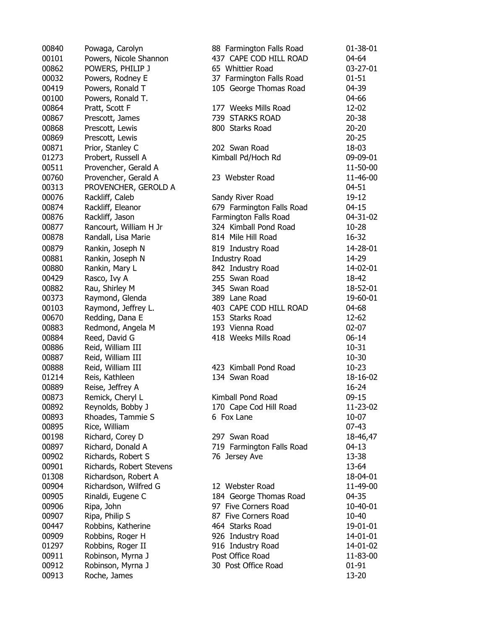| 00840 | Powaga, Carolyn          | 88 Farmington Falls Road  | 01-38-01  |
|-------|--------------------------|---------------------------|-----------|
| 00101 | Powers, Nicole Shannon   | 437 CAPE COD HILL ROAD    | 04-64     |
| 00862 | POWERS, PHILIP J         | 65 Whittier Road          | 03-27-01  |
| 00032 | Powers, Rodney E         | 37 Farmington Falls Road  | $01 - 51$ |
| 00419 | Powers, Ronald T         | 105 George Thomas Road    | 04-39     |
| 00100 | Powers, Ronald T.        |                           | 04-66     |
| 00864 | Pratt, Scott F           | 177 Weeks Mills Road      | 12-02     |
| 00867 | Prescott, James          | 739 STARKS ROAD           | $20 - 38$ |
| 00868 | Prescott, Lewis          | 800 Starks Road           | $20 - 20$ |
| 00869 | Prescott, Lewis          |                           | $20 - 25$ |
| 00871 | Prior, Stanley C         | 202 Swan Road             | 18-03     |
| 01273 | Probert, Russell A       | Kimball Pd/Hoch Rd        | 09-09-01  |
| 00511 | Provencher, Gerald A     |                           | 11-50-00  |
| 00760 | Provencher, Gerald A     | 23 Webster Road           | 11-46-00  |
| 00313 | PROVENCHER, GEROLD A     |                           | $04 - 51$ |
| 00076 | Rackliff, Caleb          | Sandy River Road          | 19-12     |
| 00874 | Rackliff, Eleanor        | 679 Farmington Falls Road | $04 - 15$ |
| 00876 | Rackliff, Jason          | Farmington Falls Road     | 04-31-02  |
| 00877 | Rancourt, William H Jr   | 324 Kimball Pond Road     | $10 - 28$ |
| 00878 | Randall, Lisa Marie      | 814 Mile Hill Road        | 16-32     |
| 00879 | Rankin, Joseph N         | 819 Industry Road         | 14-28-01  |
| 00881 | Rankin, Joseph N         | <b>Industry Road</b>      | 14-29     |
| 00880 | Rankin, Mary L           | 842 Industry Road         | 14-02-01  |
| 00429 | Rasco, Ivy A             | 255 Swan Road             | 18-42     |
| 00882 | Rau, Shirley M           | 345 Swan Road             | 18-52-01  |
| 00373 | Raymond, Glenda          | 389 Lane Road             | 19-60-01  |
| 00103 | Raymond, Jeffrey L.      | 403 CAPE COD HILL ROAD    | 04-68     |
| 00670 | Redding, Dana E          | 153 Starks Road           | 12-62     |
| 00883 | Redmond, Angela M        | 193 Vienna Road           | $02 - 07$ |
| 00884 | Reed, David G            | 418 Weeks Mills Road      | $06 - 14$ |
| 00886 | Reid, William III        |                           | $10 - 31$ |
| 00887 | Reid, William III        |                           | $10 - 30$ |
| 00888 | Reid, William III        | 423 Kimball Pond Road     | $10-23$   |
| 01214 | Reis, Kathleen           | 134 Swan Road             | 18-16-02  |
| 00889 | Reise, Jeffrey A         |                           | 16-24     |
| 00873 | Remick, Cheryl L         | Kimball Pond Road         | $09 - 15$ |
| 00892 | Reynolds, Bobby J        | 170 Cape Cod Hill Road    | 11-23-02  |
| 00893 | Rhoades, Tammie S        | 6 Fox Lane                | $10 - 07$ |
| 00895 | Rice, William            |                           | $07 - 43$ |
| 00198 | Richard, Corey D         | 297 Swan Road             | 18-46,47  |
| 00897 | Richard, Donald A        | 719 Farmington Falls Road | $04-13$   |
| 00902 | Richards, Robert S       | 76 Jersey Ave             | 13-38     |
| 00901 | Richards, Robert Stevens |                           | 13-64     |
| 01308 | Richardson, Robert A     |                           | 18-04-01  |
| 00904 | Richardson, Wilfred G    | 12 Webster Road           | 11-49-00  |
| 00905 | Rinaldi, Eugene C        | 184 George Thomas Road    | 04-35     |
| 00906 | Ripa, John               | 97 Five Corners Road      | 10-40-01  |
| 00907 | Ripa, Philip S           | 87 Five Corners Road      | 10-40     |
| 00447 | Robbins, Katherine       | 464 Starks Road           | 19-01-01  |
| 00909 | Robbins, Roger H         | 926 Industry Road         | 14-01-01  |
| 01297 | Robbins, Roger II        | 916 Industry Road         | 14-01-02  |
| 00911 | Robinson, Myrna J        | Post Office Road          | 11-83-00  |
| 00912 | Robinson, Myrna J        | 30 Post Office Road       | $01 - 91$ |
| 00913 | Roche, James             |                           | 13-20     |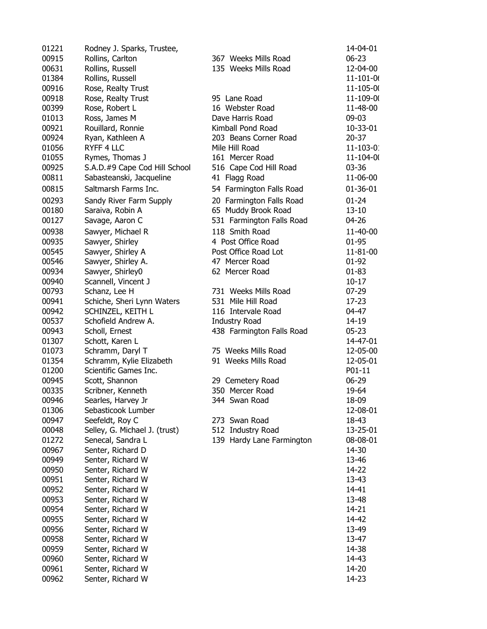| 01221 | Rodney J. Sparks, Trustee,    |                           | 14-04-01        |
|-------|-------------------------------|---------------------------|-----------------|
| 00915 | Rollins, Carlton              | 367 Weeks Mills Road      | $06 - 23$       |
| 00631 | Rollins, Russell              | 135 Weeks Mills Road      | 12-04-00        |
| 01384 | Rollins, Russell              |                           | $11 - 101 - 00$ |
| 00916 | Rose, Realty Trust            |                           | 11-105-00       |
| 00918 | Rose, Realty Trust            | 95 Lane Road              | 11-109-00       |
| 00399 | Rose, Robert L                | 16 Webster Road           | 11-48-00        |
| 01013 | Ross, James M                 | Dave Harris Road          | 09-03           |
| 00921 | Rouillard, Ronnie             | Kimball Pond Road         | 10-33-01        |
| 00924 | Ryan, Kathleen A              | 203 Beans Corner Road     | $20 - 37$       |
| 01056 | RYFF 4 LLC                    | Mile Hill Road            | $11 - 103 - 0$  |
| 01055 | Rymes, Thomas J               | 161 Mercer Road           | 11-104-00       |
| 00925 | S.A.D.#9 Cape Cod Hill School | 516 Cape Cod Hill Road    | 03-36           |
| 00811 | Sabasteanski, Jacqueline      | 41 Flagg Road             | 11-06-00        |
| 00815 | Saltmarsh Farms Inc.          | 54 Farmington Falls Road  | $01 - 36 - 01$  |
| 00293 | Sandy River Farm Supply       | 20 Farmington Falls Road  | $01 - 24$       |
| 00180 | Saraiva, Robin A              | 65 Muddy Brook Road       | $13 - 10$       |
| 00127 | Savage, Aaron C               | 531 Farmington Falls Road | 04-26           |
| 00938 | Sawyer, Michael R             | 118 Smith Road            | 11-40-00        |
| 00935 | Sawyer, Shirley               | 4 Post Office Road        | 01-95           |
| 00545 | Sawyer, Shirley A             | Post Office Road Lot      | 11-81-00        |
| 00546 | Sawyer, Shirley A.            | 47 Mercer Road            | $01 - 92$       |
| 00934 | Sawyer, Shirley0              | 62 Mercer Road            | $01 - 83$       |
| 00940 | Scannell, Vincent J           |                           | $10 - 17$       |
| 00793 | Schanz, Lee H                 | 731 Weeks Mills Road      | $07 - 29$       |
| 00941 | Schiche, Sheri Lynn Waters    | 531 Mile Hill Road        | $17-23$         |
| 00942 | SCHINZEL, KEITH L             | 116 Intervale Road        | 04-47           |
| 00537 | Schofield Andrew A.           | <b>Industry Road</b>      | 14-19           |
| 00943 | Scholl, Ernest                | 438 Farmington Falls Road | $05 - 23$       |
| 01307 | Schott, Karen L               |                           | 14-47-01        |
| 01073 | Schramm, Daryl T              | 75 Weeks Mills Road       | 12-05-00        |
| 01354 | Schramm, Kylie Elizabeth      | 91 Weeks Mills Road       | 12-05-01        |
| 01200 | Scientific Games Inc.         |                           | P01-11          |
| 00945 |                               | 29 Cemetery Road          | $06 - 29$       |
| 00335 | Scott, Shannon                | 350 Mercer Road           |                 |
|       | Scribner, Kenneth             |                           | 19-64           |
| 00946 | Searles, Harvey Jr            | 344 Swan Road             | 18-09           |
| 01306 | Sebasticook Lumber            |                           | 12-08-01        |
| 00947 | Seefeldt, Roy C               | 273 Swan Road             | 18-43           |
| 00048 | Selley, G. Michael J. (trust) | 512 Industry Road         | 13-25-01        |
| 01272 | Senecal, Sandra L             | 139 Hardy Lane Farmington | 08-08-01        |
| 00967 | Senter, Richard D             |                           | 14-30           |
| 00949 | Senter, Richard W             |                           | 13-46           |
| 00950 | Senter, Richard W             |                           | 14-22           |
| 00951 | Senter, Richard W             |                           | 13-43           |
| 00952 | Senter, Richard W             |                           | 14-41           |
| 00953 | Senter, Richard W             |                           | 13-48           |
| 00954 | Senter, Richard W             |                           | 14-21           |
| 00955 | Senter, Richard W             |                           | 14-42           |
| 00956 | Senter, Richard W             |                           | 13-49           |
| 00958 | Senter, Richard W             |                           | 13-47           |
| 00959 | Senter, Richard W             |                           | 14-38           |
| 00960 | Senter, Richard W             |                           | 14-43           |
| 00961 | Senter, Richard W             |                           | 14-20           |
| 00962 | Senter, Richard W             |                           | 14-23           |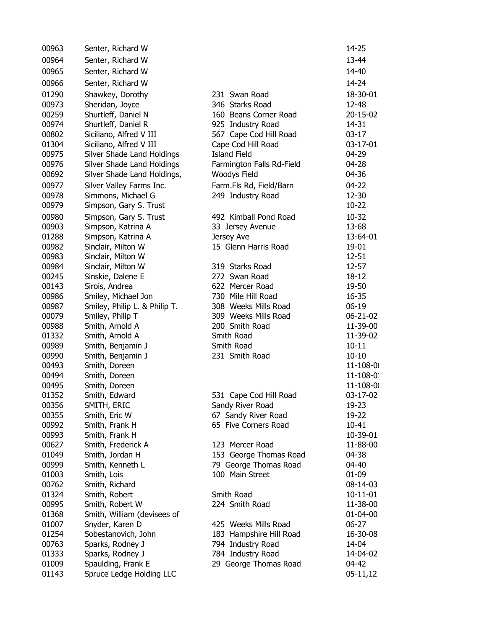| 00963          | Senter, Richard W                        |                                | 14-25             |
|----------------|------------------------------------------|--------------------------------|-------------------|
| 00964          | Senter, Richard W                        |                                | 13-44             |
| 00965          | Senter, Richard W                        |                                | 14-40             |
| 00966          | Senter, Richard W                        |                                | 14-24             |
| 01290          | Shawkey, Dorothy                         | 231 Swan Road                  | 18-30-01          |
| 00973          | Sheridan, Joyce                          | 346 Starks Road                | 12-48             |
| 00259          | Shurtleff, Daniel N                      | 160 Beans Corner Road          | 20-15-02          |
| 00974          | Shurtleff, Daniel R                      | 925 Industry Road              | 14-31             |
| 00802          | Siciliano, Alfred V III                  | 567 Cape Cod Hill Road         | $03-17$           |
| 01304          | Siciliano, Alfred V III                  | Cape Cod Hill Road             | 03-17-01          |
| 00975          | Silver Shade Land Holdings               | <b>Island Field</b>            | 04-29             |
| 00976          | Silver Shade Land Holdings               | Farmington Falls Rd-Field      | 04-28             |
| 00692          | Silver Shade Land Holdings,              | Woodys Field                   | 04-36             |
| 00977          | Silver Valley Farms Inc.                 | Farm.Fls Rd, Field/Barn        | $04 - 22$         |
| 00978          | Simmons, Michael G                       | 249 Industry Road              | 12-30             |
| 00979          | Simpson, Gary S. Trust                   |                                | 10-22             |
|                |                                          |                                |                   |
| 00980          | Simpson, Gary S. Trust                   | 492 Kimball Pond Road          | 10-32             |
| 00903<br>01288 | Simpson, Katrina A                       | 33 Jersey Avenue<br>Jersey Ave | 13-68<br>13-64-01 |
| 00982          | Simpson, Katrina A                       | 15 Glenn Harris Road           | 19-01             |
| 00983          | Sinclair, Milton W<br>Sinclair, Milton W |                                | $12 - 51$         |
| 00984          | Sinclair, Milton W                       | 319 Starks Road                | $12 - 57$         |
| 00245          | Sinskie, Dalene E                        | 272 Swan Road                  | 18-12             |
| 00143          | Sirois, Andrea                           | 622 Mercer Road                | 19-50             |
| 00986          | Smiley, Michael Jon                      | 730 Mile Hill Road             | 16-35             |
| 00987          | Smiley, Philip L. & Philip T.            | 308 Weeks Mills Road           | $06-19$           |
| 00079          | Smiley, Philip T                         | 309 Weeks Mills Road           | 06-21-02          |
| 00988          | Smith, Arnold A                          | 200 Smith Road                 | 11-39-00          |
| 01332          | Smith, Arnold A                          | Smith Road                     | 11-39-02          |
| 00989          | Smith, Benjamin J                        | Smith Road                     | $10 - 11$         |
| 00990          | Smith, Benjamin J                        | 231 Smith Road                 | $10 - 10$         |
| 00493          | Smith, Doreen                            |                                | $11 - 108 - 0($   |
| 00494          | Smith, Doreen                            |                                | $11 - 108 - 0$    |
| 00495          | Smith, Doreen                            |                                | 11-108-00         |
| 01352          | Smith, Edward                            | 531 Cape Cod Hill Road         | 03-17-02          |
| 00356          | SMITH, ERIC                              | Sandy River Road               | 19-23             |
| 00355          | Smith, Eric W                            | 67 Sandy River Road            | 19-22             |
| 00992          | Smith, Frank H                           | 65 Five Corners Road           | 10-41             |
| 00993          | Smith, Frank H                           |                                | 10-39-01          |
| 00627          | Smith, Frederick A                       | 123 Mercer Road                | 11-88-00          |
| 01049          | Smith, Jordan H                          | 153 George Thomas Road         | 04-38             |
| 00999          | Smith, Kenneth L                         | 79 George Thomas Road          | 04-40             |
| 01003          | Smith, Lois                              | 100 Main Street                | 01-09             |
| 00762          | Smith, Richard                           |                                | 08-14-03          |
| 01324          | Smith, Robert                            | Smith Road                     | $10 - 11 - 01$    |
| 00995          | Smith, Robert W                          | 224 Smith Road                 | 11-38-00          |
| 01368          | Smith, William (devisees of              |                                | 01-04-00          |
| 01007          | Snyder, Karen D                          | 425 Weeks Mills Road           | $06 - 27$         |
| 01254          | Sobestanovich, John                      | 183 Hampshire Hill Road        | 16-30-08          |
| 00763          | Sparks, Rodney J                         | 794 Industry Road              | 14-04             |
| 01333          | Sparks, Rodney J                         | 784 Industry Road              | 14-04-02          |
| 01009          | Spaulding, Frank E                       | 29 George Thomas Road          | 04-42             |
| 01143          | Spruce Ledge Holding LLC                 |                                | 05-11,12          |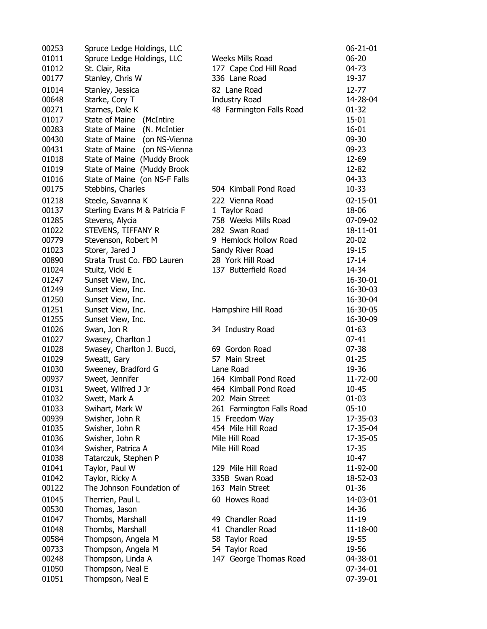| 00253 | Spruce Ledge Holdings, LLC    |                           | $06 - 21 - 01$ |
|-------|-------------------------------|---------------------------|----------------|
| 01011 | Spruce Ledge Holdings, LLC    | Weeks Mills Road          | $06 - 20$      |
| 01012 | St. Clair, Rita               | 177 Cape Cod Hill Road    | 04-73          |
| 00177 | Stanley, Chris W              | 336 Lane Road             | 19-37          |
| 01014 | Stanley, Jessica              | 82 Lane Road              | 12-77          |
| 00648 | Starke, Cory T                | <b>Industry Road</b>      | 14-28-04       |
| 00271 | Starnes, Dale K               | 48 Farmington Falls Road  | $01 - 32$      |
| 01017 | State of Maine (McIntire      |                           | $15 - 01$      |
| 00283 | State of Maine (N. McIntier   |                           | $16 - 01$      |
| 00430 | State of Maine (on NS-Vienna  |                           | $09 - 30$      |
| 00431 | State of Maine (on NS-Vienna  |                           | $09 - 23$      |
| 01018 | State of Maine (Muddy Brook   |                           | 12-69          |
| 01019 | State of Maine (Muddy Brook   |                           | 12-82          |
| 01016 | State of Maine (on NS-F Falls |                           | 04-33          |
| 00175 |                               | 504 Kimball Pond Road     | 10-33          |
|       | Stebbins, Charles             |                           |                |
| 01218 | Steele, Savanna K             | 222 Vienna Road           | $02 - 15 - 01$ |
| 00137 | Sterling Evans M & Patricia F | 1 Taylor Road             | 18-06          |
| 01285 | Stevens, Alycia               | 758 Weeks Mills Road      | 07-09-02       |
| 01022 | STEVENS, TIFFANY R            | 282 Swan Road             | 18-11-01       |
| 00779 | Stevenson, Robert M           | 9 Hemlock Hollow Road     | $20 - 02$      |
| 01023 | Storer, Jared J               | Sandy River Road          | 19-15          |
| 00890 | Strata Trust Co. FBO Lauren   | 28 York Hill Road         | 17-14          |
| 01024 | Stultz, Vicki E               | 137 Butterfield Road      | 14-34          |
| 01247 | Sunset View, Inc.             |                           | 16-30-01       |
| 01249 | Sunset View, Inc.             |                           | 16-30-03       |
| 01250 | Sunset View, Inc.             |                           | 16-30-04       |
| 01251 | Sunset View, Inc.             | Hampshire Hill Road       | 16-30-05       |
| 01255 | Sunset View, Inc.             |                           | 16-30-09       |
| 01026 | Swan, Jon R                   | 34 Industry Road          | $01 - 63$      |
| 01027 | Swasey, Charlton J            |                           | 07-41          |
| 01028 | Swasey, Charlton J. Bucci,    | 69 Gordon Road            | $07 - 38$      |
| 01029 | Sweatt, Gary                  | 57 Main Street            | $01 - 25$      |
| 01030 | Sweeney, Bradford G           | Lane Road                 | 19-36          |
| 00937 | Sweet, Jennifer               | 164 Kimball Pond Road     | 11-72-00       |
| 01031 | Sweet, Wilfred J Jr           | 464 Kimball Pond Road     | 10-45          |
| 01032 | Swett, Mark A                 | 202 Main Street           | $01 - 03$      |
| 01033 | Swihart, Mark W               | 261 Farmington Falls Road | $05 - 10$      |
| 00939 | Swisher, John R               | 15 Freedom Way            | 17-35-03       |
| 01035 | Swisher, John R               | 454 Mile Hill Road        | 17-35-04       |
| 01036 | Swisher, John R               | Mile Hill Road            | 17-35-05       |
| 01034 | Swisher, Patrica A            | Mile Hill Road            | 17-35          |
| 01038 | Tatarczuk, Stephen P          |                           | 10-47          |
| 01041 | Taylor, Paul W                | 129 Mile Hill Road        | 11-92-00       |
| 01042 | Taylor, Ricky A               | 335B Swan Road            | 18-52-03       |
| 00122 | The Johnson Foundation of     | 163 Main Street           | 01-36          |
| 01045 | Therrien, Paul L              | 60 Howes Road             | 14-03-01       |
| 00530 | Thomas, Jason                 |                           | 14-36          |
| 01047 | Thombs, Marshall              | 49 Chandler Road          | $11 - 19$      |
| 01048 | Thombs, Marshall              | 41 Chandler Road          | 11-18-00       |
| 00584 | Thompson, Angela M            | 58 Taylor Road            | 19-55          |
| 00733 |                               | 54 Taylor Road            | 19-56          |
|       | Thompson, Angela M            |                           |                |
| 00248 | Thompson, Linda A             | 147 George Thomas Road    | 04-38-01       |
| 01050 | Thompson, Neal E              |                           | 07-34-01       |
| 01051 | Thompson, Neal E              |                           | 07-39-01       |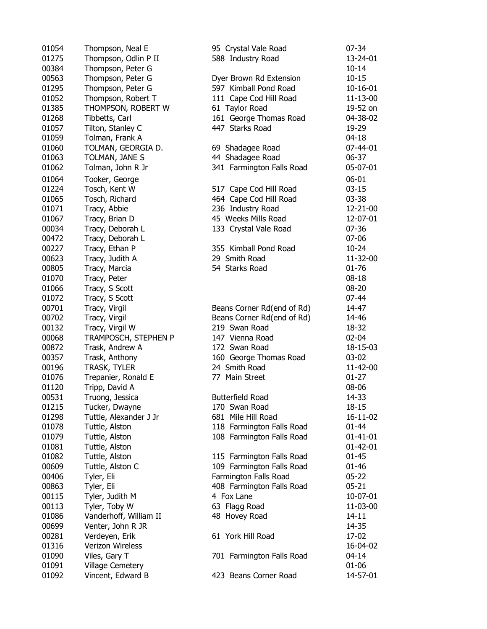| 01054 | Thompson, Neal E       |
|-------|------------------------|
| 01275 | Thompson, Odlin P II   |
| 00384 | Thompson, Peter G      |
| 00563 | Thompson, Peter G      |
| 01295 | Thompson, Peter G      |
| 01052 | Thompson, Robert T     |
| 01385 | THOMPSON, ROBERT W     |
| 01268 | Tibbetts, Carl         |
| 01057 | Tilton, Stanley C      |
| 01059 | Tolman, Frank A        |
| 01060 | TOLMAN, GEORGIA D.     |
| 01063 | TOLMAN, JANE S         |
| 01062 | Tolman, John R Jr      |
| 01064 | Tooker, George         |
| 01224 | Tosch, Kent W          |
| 01065 | Tosch, Richard         |
| 01071 | Tracy, Abbie           |
| 01067 | Tracy, Brian D         |
| 00034 | Tracy, Deborah L       |
| 00472 | Tracy, Deborah L       |
| 00227 | Tracy, Ethan P         |
| 00623 | Tracy, Judith A        |
| 00805 | Tracy, Marcia          |
| 01070 | Tracy, Peter           |
| 01066 | Tracy, S Scott         |
| 01072 | Tracy, S Scott         |
| 00701 | Tracy, Virgil          |
| 00702 | Tracy, Virgil          |
| 00132 | Tracy, Virgil W        |
| 00068 | TRAMPOSCH, STEPHEN P   |
| 00872 | Trask, Andrew A        |
| 00357 | Trask, Anthony         |
| 00196 | TRASK, TYLER           |
| 01076 | Trepanier, Ronald E    |
| 01120 | Tripp, David A         |
| 00531 | Truong, Jessica        |
| 01215 | Tucker, Dwayne         |
| 01298 | Tuttle, Alexander J Jr |
| 01078 | Tuttle, Alston         |
| 01079 | Tuttle, Alston         |
| 01081 | Tuttle, Alston         |
| 01082 | Tuttle, Alston         |
| 00609 | Tuttle, Alston C       |
| 00406 | Tyler, Eli             |
| 00863 | Tyler, Eli             |
| 00115 | Tyler, Judith M        |
| 00113 | Tyler, Toby W          |
| 01086 | Vanderhoff, William II |
| 00699 | Venter, John R JR      |
| 00281 | Verdeyen, Erik         |
| 01316 | Verizon Wireless       |
| 01090 | Viles, Gary T          |
| 01091 | Village Cemetery       |
| 01092 | Vincent, Edward B      |

| 01054<br>01275 | Thompson, Neal E<br>Thompson, Odlin P II | 95 Crystal Vale Road<br>588 Industry Road | $07 - 34$<br>13-24-01 |
|----------------|------------------------------------------|-------------------------------------------|-----------------------|
| 00384          | Thompson, Peter G                        |                                           | $10 - 14$             |
| 00563          | Thompson, Peter G                        | Dyer Brown Rd Extension                   | $10 - 15$             |
| 01295          | Thompson, Peter G                        | 597 Kimball Pond Road                     | $10 - 16 - 01$        |
| 01052          | Thompson, Robert T                       | 111 Cape Cod Hill Road                    | 11-13-00              |
| 01385          | THOMPSON, ROBERT W                       | 61 Taylor Road                            | 19-52 on              |
| 01268          | Tibbetts, Carl                           | 161 George Thomas Road                    | 04-38-02              |
| 01057          | Tilton, Stanley C                        | 447 Starks Road                           | 19-29                 |
| 01059          | Tolman, Frank A                          |                                           | $04 - 18$             |
| 01060          | TOLMAN, GEORGIA D.                       | 69 Shadagee Road                          | 07-44-01              |
| 01063          | TOLMAN, JANE S                           | 44 Shadagee Road                          | 06-37                 |
| 01062          | Tolman, John R Jr                        | 341 Farmington Falls Road                 | 05-07-01              |
| 01064          | Tooker, George                           |                                           | $06 - 01$             |
| 01224          | Tosch, Kent W                            | 517 Cape Cod Hill Road                    | $03-15$               |
| 01065          | Tosch, Richard                           | 464 Cape Cod Hill Road                    | $03 - 38$             |
| 01071          | Tracy, Abbie                             | 236 Industry Road                         | 12-21-00              |
| 01067          | Tracy, Brian D                           | 45 Weeks Mills Road                       | 12-07-01              |
| 00034          | Tracy, Deborah L                         | 133 Crystal Vale Road                     | $07 - 36$             |
| 00472          | Tracy, Deborah L                         |                                           | 07-06                 |
| 00227          | Tracy, Ethan P                           | 355 Kimball Pond Road                     | $10 - 24$             |
| 00623          | Tracy, Judith A                          | 29 Smith Road                             | 11-32-00              |
| 00805          | Tracy, Marcia                            | 54 Starks Road                            | 01-76                 |
| 01070          | Tracy, Peter                             |                                           | $08 - 18$             |
| 01066          | Tracy, S Scott                           |                                           | $08 - 20$             |
| 01072          | Tracy, S Scott                           |                                           | 07-44                 |
| 00701          | Tracy, Virgil                            | Beans Corner Rd(end of Rd)                | 14-47                 |
| 00702          | Tracy, Virgil                            | Beans Corner Rd(end of Rd)                | 14-46                 |
| 00132          | Tracy, Virgil W                          | 219 Swan Road                             | 18-32                 |
| 00068          | TRAMPOSCH, STEPHEN P                     | 147 Vienna Road                           | $02 - 04$             |
| 00872          | Trask, Andrew A                          | 172 Swan Road                             | 18-15-03              |
| 00357          | Trask, Anthony                           | 160 George Thomas Road                    | $03 - 02$             |
| 00196          | TRASK, TYLER                             | 24 Smith Road                             | 11-42-00              |
| 01076          | Trepanier, Ronald E                      | 77 Main Street                            | $01 - 27$             |
| 01120          | Tripp, David A                           |                                           | 08-06                 |
| 00531          | Truong, Jessica                          | <b>Butterfield Road</b>                   | 14-33                 |
| 01215          | Tucker, Dwayne                           | 170 Swan Road                             | 18-15                 |
| 01298          | Tuttle, Alexander J Jr                   | 681 Mile Hill Road                        | 16-11-02              |
| 01078          | Tuttle, Alston                           | 118 Farmington Falls Road                 | $01 - 44$             |
| 01079          | Tuttle, Alston                           | 108 Farmington Falls Road                 | $01 - 41 - 01$        |
| 01081          | Tuttle, Alston                           |                                           | $01 - 42 - 01$        |
| 01082          | Tuttle, Alston                           | 115 Farmington Falls Road                 | $01 - 45$             |
| 00609          | Tuttle, Alston C                         | 109 Farmington Falls Road                 | 01-46                 |
| 00406          | Tyler, Eli                               | Farmington Falls Road                     | $05 - 22$             |
| 00863          | Tyler, Eli                               | 408 Farmington Falls Road                 | $05 - 21$             |
| 00115          | Tyler, Judith M                          | 4 Fox Lane                                | 10-07-01              |
| 00113          | Tyler, Toby W                            | 63 Flagg Road                             | 11-03-00              |
| 01086          | Vanderhoff, William II                   | 48 Hovey Road                             | $14 - 11$             |
| 00699          | Venter, John R JR                        |                                           | 14-35                 |
| 00281          | Verdeyen, Erik<br>Verizon Wireless       | 61 York Hill Road                         | 17-02                 |
| 01316<br>01090 | Viles, Gary T                            | 701 Farmington Falls Road                 | 16-04-02<br>$04 - 14$ |
| 01091          | Village Cemetery                         |                                           | $01 - 06$             |
| 01092          | Vincent, Edward B                        | 423 Beans Corner Road                     | 14-57-01              |
|                |                                          |                                           |                       |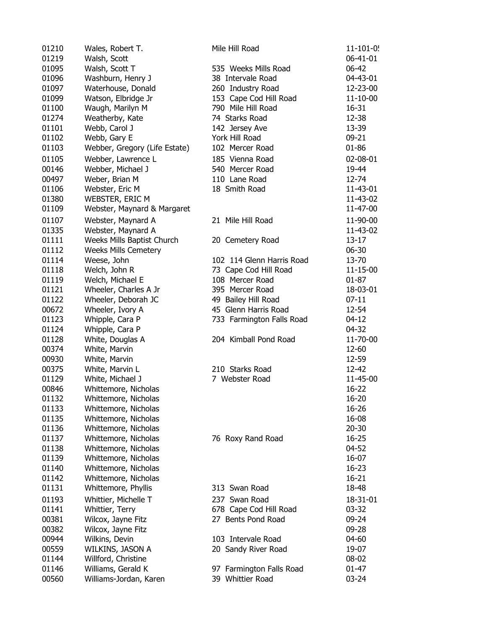| 01210 | Wales, Robert T.              | Mile Hill Road            | $11 - 101 - 0!$ |
|-------|-------------------------------|---------------------------|-----------------|
| 01219 | Walsh, Scott                  |                           | 06-41-01        |
| 01095 | Walsh, Scott T                | 535 Weeks Mills Road      | 06-42           |
| 01096 | Washburn, Henry J             | 38 Intervale Road         | 04-43-01        |
| 01097 | Waterhouse, Donald            | 260 Industry Road         | 12-23-00        |
| 01099 | Watson, Elbridge Jr           | 153 Cape Cod Hill Road    | 11-10-00        |
| 01100 | Waugh, Marilyn M              | 790 Mile Hill Road        | 16-31           |
| 01274 | Weatherby, Kate               | 74 Starks Road            | 12-38           |
| 01101 | Webb, Carol J                 | 142 Jersey Ave            | 13-39           |
| 01102 | Webb, Gary E                  | York Hill Road            | $09 - 21$       |
| 01103 | Webber, Gregory (Life Estate) | 102 Mercer Road           | $01 - 86$       |
| 01105 | Webber, Lawrence L            | 185 Vienna Road           | 02-08-01        |
| 00146 | Webber, Michael J             | 540 Mercer Road           | 19-44           |
| 00497 | Weber, Brian M                | 110 Lane Road             | 12-74           |
| 01106 | Webster, Eric M               | 18 Smith Road             | 11-43-01        |
| 01380 | <b>WEBSTER, ERIC M</b>        |                           | 11-43-02        |
| 01109 | Webster, Maynard & Margaret   |                           | 11-47-00        |
|       |                               |                           |                 |
| 01107 | Webster, Maynard A            | 21 Mile Hill Road         | 11-90-00        |
| 01335 | Webster, Maynard A            |                           | 11-43-02        |
| 01111 | Weeks Mills Baptist Church    | 20 Cemetery Road          | $13 - 17$       |
| 01112 | <b>Weeks Mills Cemetery</b>   |                           | $06 - 30$       |
| 01114 | Weese, John                   | 102 114 Glenn Harris Road | 13-70           |
| 01118 | Welch, John R                 | 73 Cape Cod Hill Road     | 11-15-00        |
| 01119 | Welch, Michael E              | 108 Mercer Road           | $01 - 87$       |
| 01121 | Wheeler, Charles A Jr         | 395 Mercer Road           | 18-03-01        |
| 01122 | Wheeler, Deborah JC           | 49 Bailey Hill Road       | $07-11$         |
| 00672 | Wheeler, Ivory A              | 45 Glenn Harris Road      | 12-54           |
| 01123 | Whipple, Cara P               | 733 Farmington Falls Road | $04 - 12$       |
| 01124 | Whipple, Cara P               |                           | 04-32           |
| 01128 | White, Douglas A              | 204 Kimball Pond Road     | 11-70-00        |
| 00374 | White, Marvin                 |                           | 12-60           |
| 00930 | White, Marvin                 |                           | 12-59           |
| 00375 | White, Marvin L               | 210 Starks Road           | 12-42           |
| 01129 | White, Michael J              | 7 Webster Road            | 11-45-00        |
| 00846 | Whittemore, Nicholas          |                           | $16 - 22$       |
| 01132 | Whittemore, Nicholas          |                           | $16 - 20$       |
| 01133 | Whittemore, Nicholas          |                           | 16-26           |
| 01135 | Whittemore, Nicholas          |                           | 16-08           |
| 01136 | Whittemore, Nicholas          |                           | $20 - 30$       |
| 01137 | Whittemore, Nicholas          | 76 Roxy Rand Road         | 16-25           |
| 01138 | Whittemore, Nicholas          |                           | 04-52           |
| 01139 | Whittemore, Nicholas          |                           | 16-07           |
| 01140 | Whittemore, Nicholas          |                           | $16 - 23$       |
| 01142 | Whittemore, Nicholas          |                           | $16 - 21$       |
| 01131 | Whittemore, Phyllis           | 313 Swan Road             | 18-48           |
| 01193 | Whittier, Michelle T          | 237 Swan Road             | 18-31-01        |
| 01141 | Whittier, Terry               | 678 Cape Cod Hill Road    | 03-32           |
| 00381 | Wilcox, Jayne Fitz            | 27 Bents Pond Road        | 09-24           |
| 00382 | Wilcox, Jayne Fitz            |                           | 09-28           |
| 00944 | Wilkins, Devin                | 103 Intervale Road        | 04-60           |
| 00559 | WILKINS, JASON A              | 20 Sandy River Road       | 19-07           |
| 01144 | Willford, Christine           |                           | 08-02           |
| 01146 | Williams, Gerald K            | 97 Farmington Falls Road  | $01 - 47$       |
| 00560 | Williams-Jordan, Karen        | 39 Whittier Road          | 03-24           |
|       |                               |                           |                 |